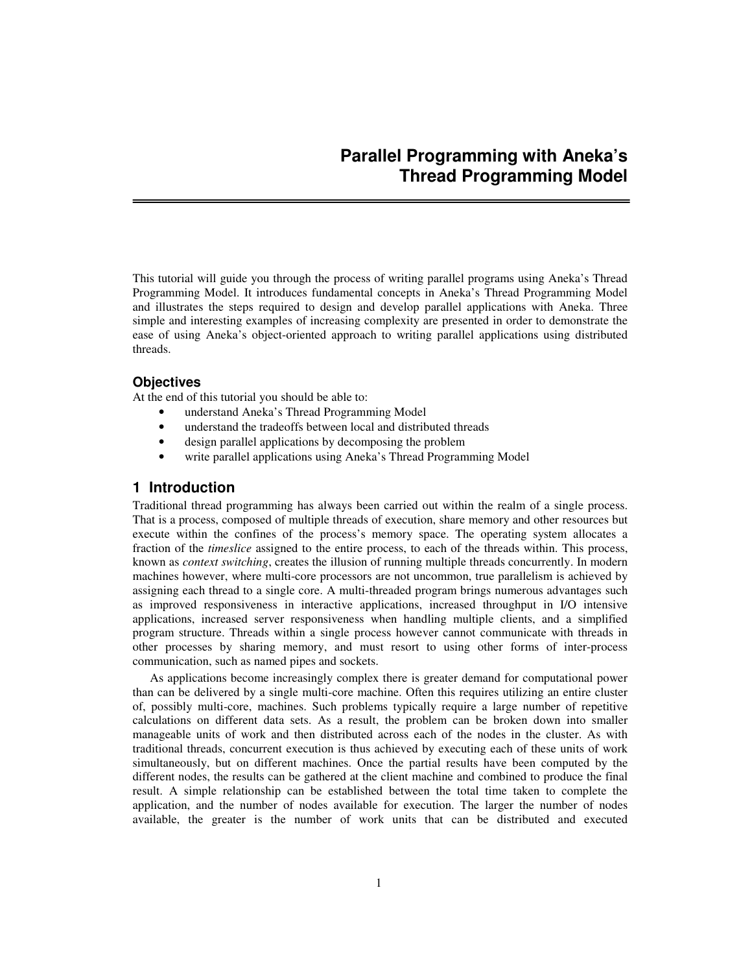This tutorial will guide you through the process of writing parallel programs using Aneka's Thread Programming Model. It introduces fundamental concepts in Aneka's Thread Programming Model and illustrates the steps required to design and develop parallel applications with Aneka. Three simple and interesting examples of increasing complexity are presented in order to demonstrate the ease of using Aneka's object-oriented approach to writing parallel applications using distributed threads.

## **Objectives**

At the end of this tutorial you should be able to:

- understand Aneka's Thread Programming Model
- understand the tradeoffs between local and distributed threads
- design parallel applications by decomposing the problem
- write parallel applications using Aneka's Thread Programming Model

# **1 Introduction**

Traditional thread programming has always been carried out within the realm of a single process. That is a process, composed of multiple threads of execution, share memory and other resources but execute within the confines of the process's memory space. The operating system allocates a fraction of the *timeslice* assigned to the entire process, to each of the threads within. This process, known as *context switching*, creates the illusion of running multiple threads concurrently. In modern machines however, where multi-core processors are not uncommon, true parallelism is achieved by assigning each thread to a single core. A multi-threaded program brings numerous advantages such as improved responsiveness in interactive applications, increased throughput in I/O intensive applications, increased server responsiveness when handling multiple clients, and a simplified program structure. Threads within a single process however cannot communicate with threads in other processes by sharing memory, and must resort to using other forms of inter-process communication, such as named pipes and sockets.

As applications become increasingly complex there is greater demand for computational power than can be delivered by a single multi-core machine. Often this requires utilizing an entire cluster of, possibly multi-core, machines. Such problems typically require a large number of repetitive calculations on different data sets. As a result, the problem can be broken down into smaller manageable units of work and then distributed across each of the nodes in the cluster. As with traditional threads, concurrent execution is thus achieved by executing each of these units of work simultaneously, but on different machines. Once the partial results have been computed by the different nodes, the results can be gathered at the client machine and combined to produce the final result. A simple relationship can be established between the total time taken to complete the application, and the number of nodes available for execution. The larger the number of nodes available, the greater is the number of work units that can be distributed and executed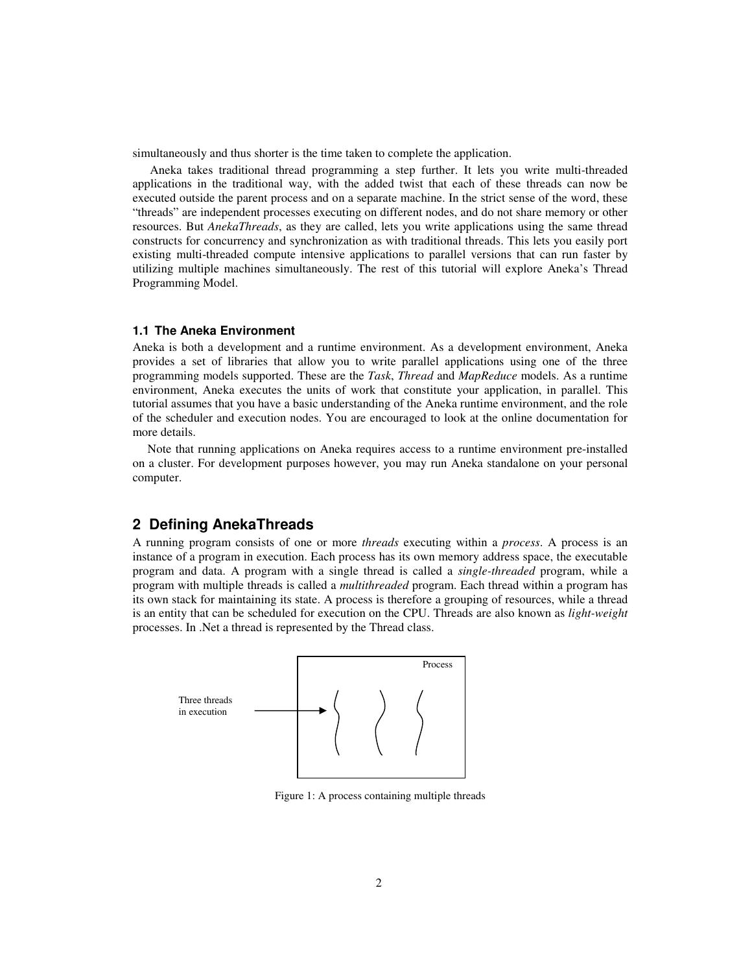simultaneously and thus shorter is the time taken to complete the application.

Aneka takes traditional thread programming a step further. It lets you write multi-threaded applications in the traditional way, with the added twist that each of these threads can now be executed outside the parent process and on a separate machine. In the strict sense of the word, these "threads" are independent processes executing on different nodes, and do not share memory or other resources. But *AnekaThreads*, as they are called, lets you write applications using the same thread constructs for concurrency and synchronization as with traditional threads. This lets you easily port existing multi-threaded compute intensive applications to parallel versions that can run faster by utilizing multiple machines simultaneously. The rest of this tutorial will explore Aneka's Thread Programming Model.

### **1.1 The Aneka Environment**

Aneka is both a development and a runtime environment. As a development environment, Aneka provides a set of libraries that allow you to write parallel applications using one of the three programming models supported. These are the *Task*, *Thread* and *MapReduce* models. As a runtime environment, Aneka executes the units of work that constitute your application, in parallel. This tutorial assumes that you have a basic understanding of the Aneka runtime environment, and the role of the scheduler and execution nodes. You are encouraged to look at the online documentation for more details.

Note that running applications on Aneka requires access to a runtime environment pre-installed on a cluster. For development purposes however, you may run Aneka standalone on your personal computer.

## **2 Defining AnekaThreads**

A running program consists of one or more *threads* executing within a *process*. A process is an instance of a program in execution. Each process has its own memory address space, the executable program and data. A program with a single thread is called a *single-threaded* program, while a program with multiple threads is called a *multithreaded* program. Each thread within a program has its own stack for maintaining its state. A process is therefore a grouping of resources, while a thread is an entity that can be scheduled for execution on the CPU. Threads are also known as *light-weight* processes. In .Net a thread is represented by the Thread class.



Figure 1: A process containing multiple threads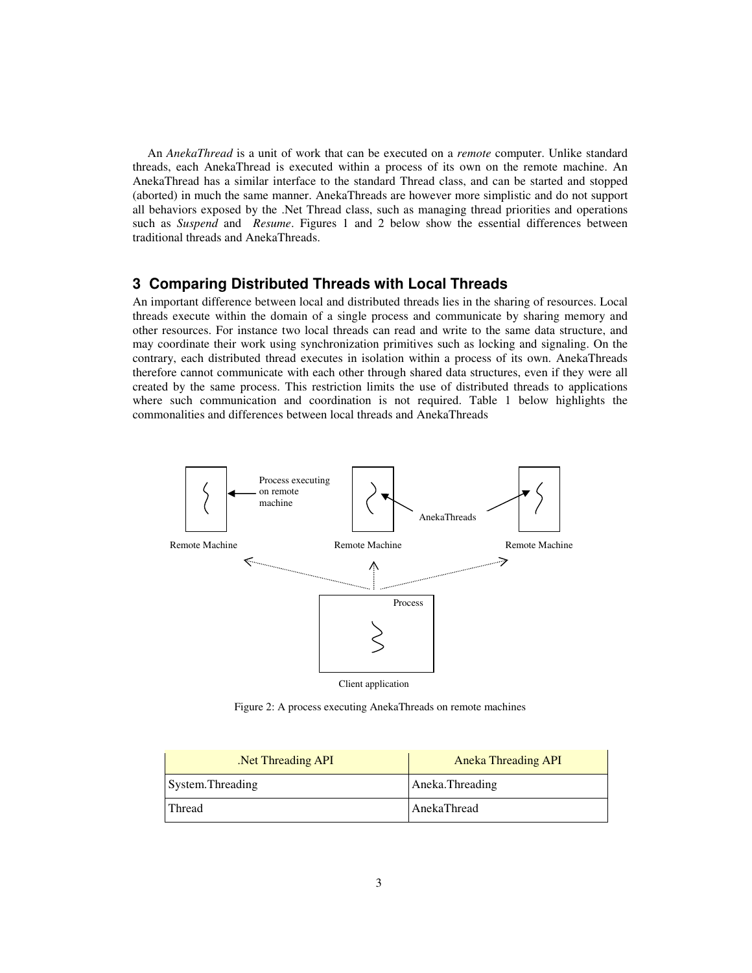An *AnekaThread* is a unit of work that can be executed on a *remote* computer. Unlike standard threads, each AnekaThread is executed within a process of its own on the remote machine. An AnekaThread has a similar interface to the standard Thread class, and can be started and stopped (aborted) in much the same manner. AnekaThreads are however more simplistic and do not support all behaviors exposed by the .Net Thread class, such as managing thread priorities and operations such as *Suspend* and *Resume*. Figures 1 and 2 below show the essential differences between traditional threads and AnekaThreads.

# **3 Comparing Distributed Threads with Local Threads**

An important difference between local and distributed threads lies in the sharing of resources. Local threads execute within the domain of a single process and communicate by sharing memory and other resources. For instance two local threads can read and write to the same data structure, and may coordinate their work using synchronization primitives such as locking and signaling. On the contrary, each distributed thread executes in isolation within a process of its own. AnekaThreads therefore cannot communicate with each other through shared data structures, even if they were all created by the same process. This restriction limits the use of distributed threads to applications where such communication and coordination is not required. Table 1 below highlights the commonalities and differences between local threads and AnekaThreads



Figure 2: A process executing AnekaThreads on remote machines

| Net Threading API | <b>Aneka Threading API</b> |  |  |  |
|-------------------|----------------------------|--|--|--|
| System. Threading | Aneka.Threading            |  |  |  |
| Thread            | AnekaThread                |  |  |  |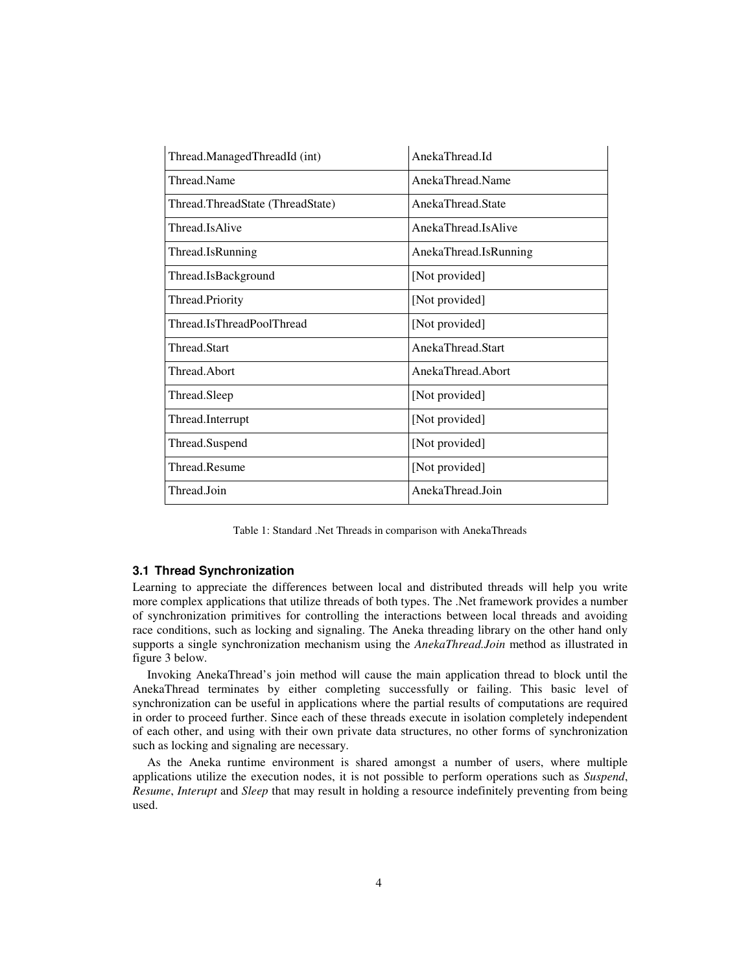| Thread.ManagedThreadId (int)     | AnekaThread.Id        |
|----------------------------------|-----------------------|
| Thread.Name                      | AnekaThread.Name      |
| Thread.ThreadState (ThreadState) | AnekaThread State     |
| Thread.IsAlive                   | AnekaThread.IsAlive   |
| Thread.IsRunning                 | AnekaThread.IsRunning |
| Thread.IsBackground              | [Not provided]        |
| Thread.Priority                  | [Not provided]        |
| Thread.IsThreadPoolThread        | [Not provided]        |
| Thread Start                     | AnekaThread Start     |
| Thread Abort                     | AnekaThread.Abort     |
| Thread.Sleep                     | [Not provided]        |
| Thread.Interrupt                 | [Not provided]        |
| Thread.Suspend                   | [Not provided]        |
| Thread.Resume                    | [Not provided]        |
| Thread.Join                      | AnekaThread.Join      |

Table 1: Standard .Net Threads in comparison with AnekaThreads

## **3.1 Thread Synchronization**

Learning to appreciate the differences between local and distributed threads will help you write more complex applications that utilize threads of both types. The .Net framework provides a number of synchronization primitives for controlling the interactions between local threads and avoiding race conditions, such as locking and signaling. The Aneka threading library on the other hand only supports a single synchronization mechanism using the *AnekaThread.Join* method as illustrated in figure 3 below.

Invoking AnekaThread's join method will cause the main application thread to block until the AnekaThread terminates by either completing successfully or failing. This basic level of synchronization can be useful in applications where the partial results of computations are required in order to proceed further. Since each of these threads execute in isolation completely independent of each other, and using with their own private data structures, no other forms of synchronization such as locking and signaling are necessary.

As the Aneka runtime environment is shared amongst a number of users, where multiple applications utilize the execution nodes, it is not possible to perform operations such as *Suspend*, *Resume*, *Interupt* and *Sleep* that may result in holding a resource indefinitely preventing from being used.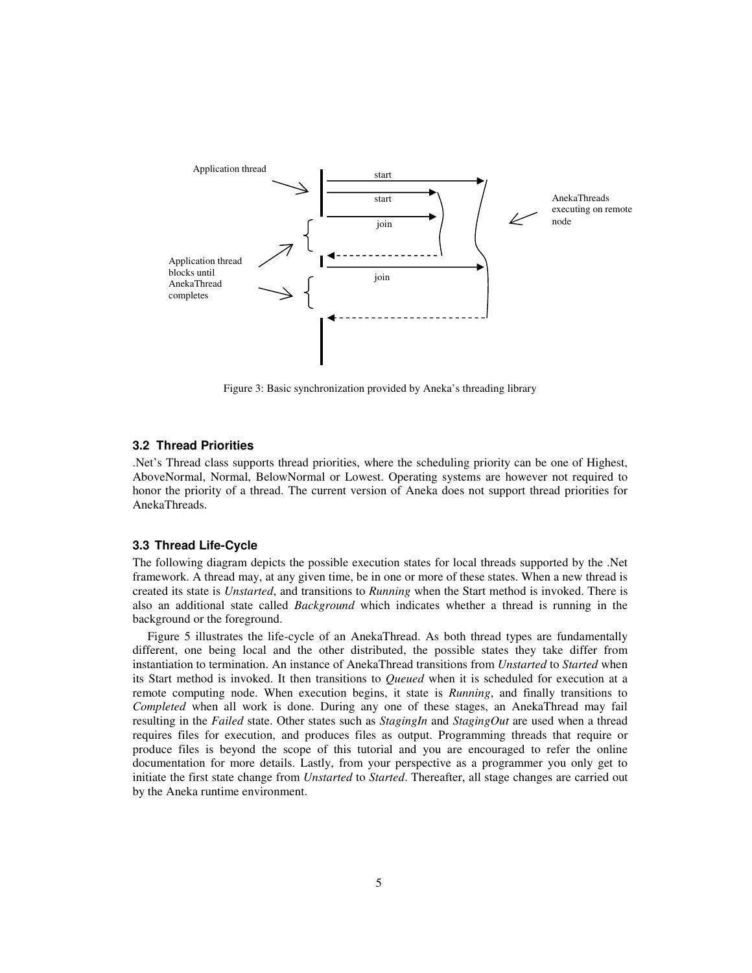

Figure 3: Basic synchronization provided by Aneka's threading library

## **3.2 Thread Priorities**

.Net's Thread class supports thread priorities, where the scheduling priority can be one of Highest, AboveNormal, Normal, BelowNormal or Lowest. Operating systems are however not required to honor the priority of a thread. The current version of Aneka does not support thread priorities for AnekaThreads.

## **3.3 Thread Life-Cycle**

The following diagram depicts the possible execution states for local threads supported by the .Net framework. A thread may, at any given time, be in one or more of these states. When a new thread is created its state is *Unstarted*, and transitions to *Running* when the Start method is invoked. There is also an additional state called *Background* which indicates whether a thread is running in the background or the foreground.

Figure 5 illustrates the life-cycle of an AnekaThread. As both thread types are fundamentally different, one being local and the other distributed, the possible states they take differ from instantiation to termination. An instance of AnekaThread transitions from *Unstarted* to *Started* when its Start method is invoked. It then transitions to *Queued* when it is scheduled for execution at a remote computing node. When execution begins, it state is *Running*, and finally transitions to *Completed* when all work is done. During any one of these stages, an AnekaThread may fail resulting in the *Failed* state. Other states such as *StagingIn* and *StagingOut* are used when a thread requires files for execution, and produces files as output. Programming threads that require or produce files is beyond the scope of this tutorial and you are encouraged to refer the online documentation for more details. Lastly, from your perspective as a programmer you only get to initiate the first state change from *Unstarted* to *Started*. Thereafter, all stage changes are carried out by the Aneka runtime environment.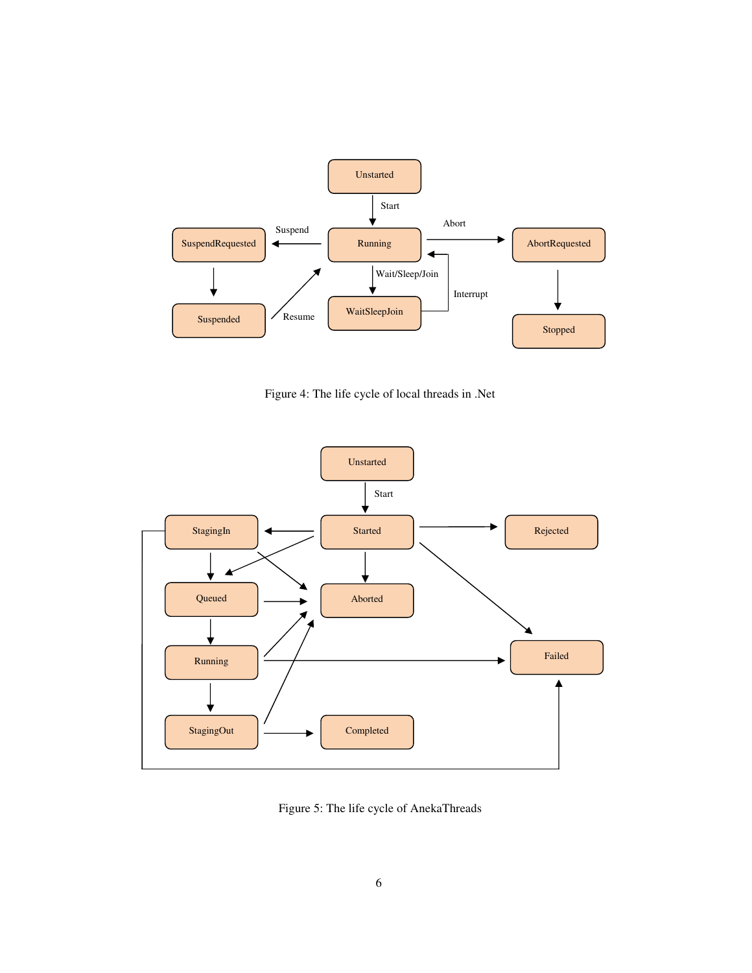

Figure 4: The life cycle of local threads in .Net



Figure 5: The life cycle of AnekaThreads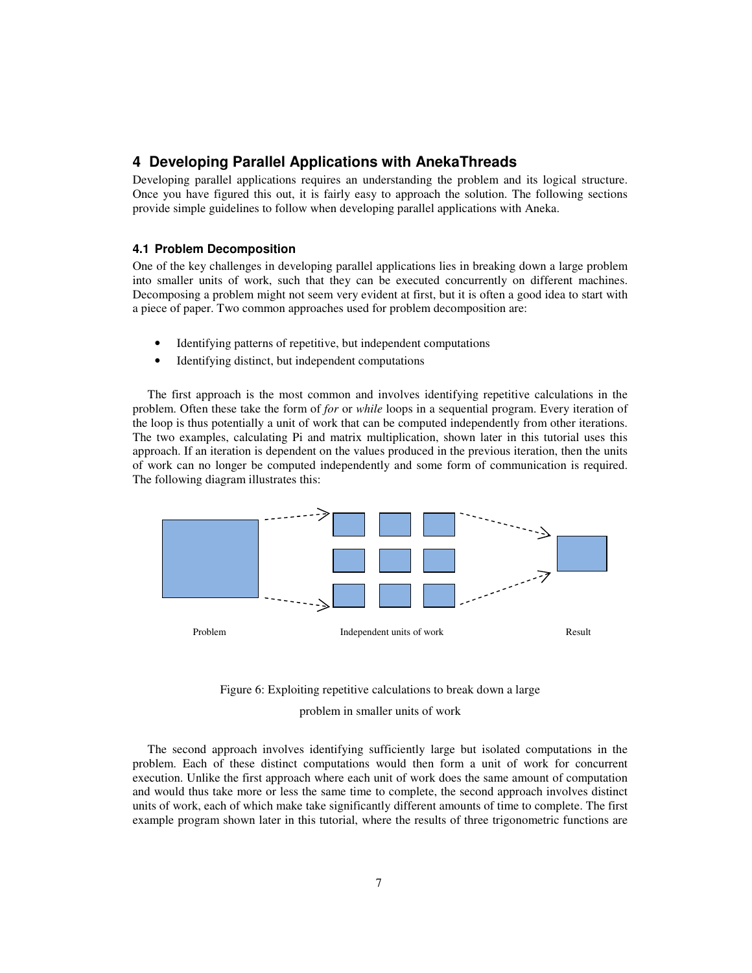# **4 Developing Parallel Applications with AnekaThreads**

Developing parallel applications requires an understanding the problem and its logical structure. Once you have figured this out, it is fairly easy to approach the solution. The following sections provide simple guidelines to follow when developing parallel applications with Aneka.

### **4.1 Problem Decomposition**

One of the key challenges in developing parallel applications lies in breaking down a large problem into smaller units of work, such that they can be executed concurrently on different machines. Decomposing a problem might not seem very evident at first, but it is often a good idea to start with a piece of paper. Two common approaches used for problem decomposition are:

- Identifying patterns of repetitive, but independent computations
- Identifying distinct, but independent computations

The first approach is the most common and involves identifying repetitive calculations in the problem. Often these take the form of *for* or *while* loops in a sequential program. Every iteration of the loop is thus potentially a unit of work that can be computed independently from other iterations. The two examples, calculating Pi and matrix multiplication, shown later in this tutorial uses this approach. If an iteration is dependent on the values produced in the previous iteration, then the units of work can no longer be computed independently and some form of communication is required. The following diagram illustrates this:





The second approach involves identifying sufficiently large but isolated computations in the problem. Each of these distinct computations would then form a unit of work for concurrent execution. Unlike the first approach where each unit of work does the same amount of computation and would thus take more or less the same time to complete, the second approach involves distinct units of work, each of which make take significantly different amounts of time to complete. The first example program shown later in this tutorial, where the results of three trigonometric functions are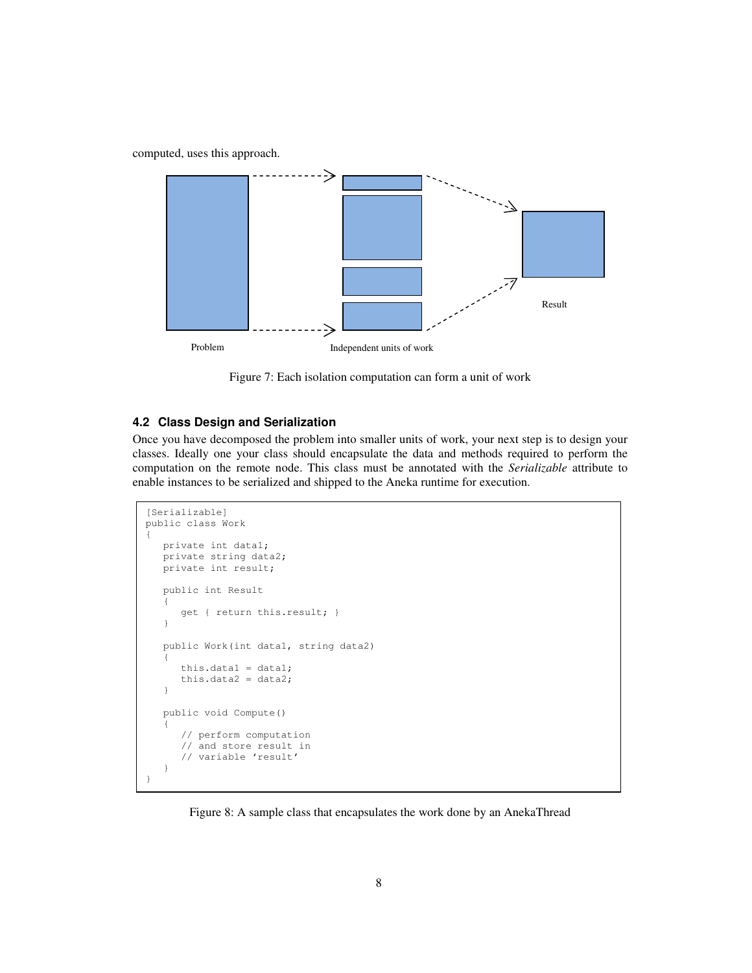computed, uses this approach.



Figure 7: Each isolation computation can form a unit of work

## **4.2 Class Design and Serialization**

Once you have decomposed the problem into smaller units of work, your next step is to design your classes. Ideally one your class should encapsulate the data and methods required to perform the computation on the remote node. This class must be annotated with the *Serializable* attribute to enable instances to be serialized and shipped to the Aneka runtime for execution.

```
[Serializable] 
public class Work 
{ 
    private int data1; 
    private string data2; 
    private int result; 
    public int Result 
    { 
        get { return this.result; } 
    } 
    public Work(int data1, string data2) 
    { 
       this.datal = data1;
        this.data2 = data2; 
   \mathfrak{h} public void Compute() 
   \ddot{\phantom{1}} // perform computation 
        // and store result in 
        // variable 'result' 
    } 
}
```
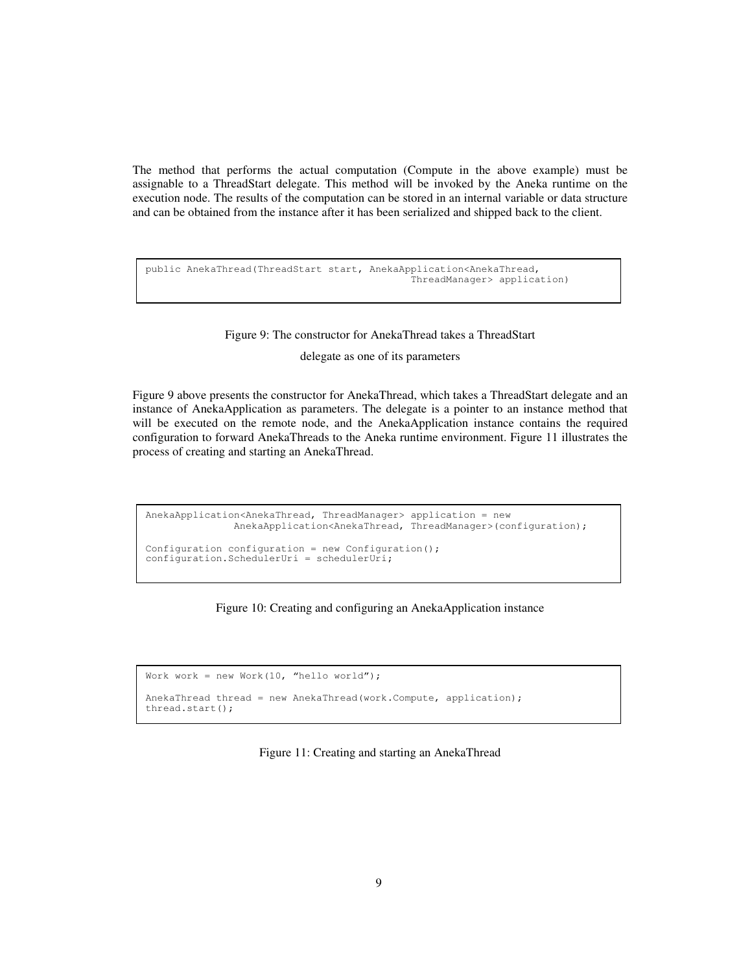The method that performs the actual computation (Compute in the above example) must be assignable to a ThreadStart delegate. This method will be invoked by the Aneka runtime on the execution node. The results of the computation can be stored in an internal variable or data structure and can be obtained from the instance after it has been serialized and shipped back to the client.

```
public AnekaThread(ThreadStart start, AnekaApplication<AnekaThread, 
                                                ThreadManager> application)
```
#### Figure 9: The constructor for AnekaThread takes a ThreadStart

delegate as one of its parameters

Figure 9 above presents the constructor for AnekaThread, which takes a ThreadStart delegate and an instance of AnekaApplication as parameters. The delegate is a pointer to an instance method that will be executed on the remote node, and the AnekaApplication instance contains the required configuration to forward AnekaThreads to the Aneka runtime environment. Figure 11 illustrates the process of creating and starting an AnekaThread.

```
AnekaApplication<AnekaThread, ThreadManager> application = new 
                AnekaApplication<AnekaThread, ThreadManager>(configuration); 
Configuration configuration = new Configuration();
configuration.SchedulerUri = schedulerUri;
```


```
Work work = new Work(10, "hello world");
AnekaThread thread = new AnekaThread(work.Compute, application);
thread.start();
```
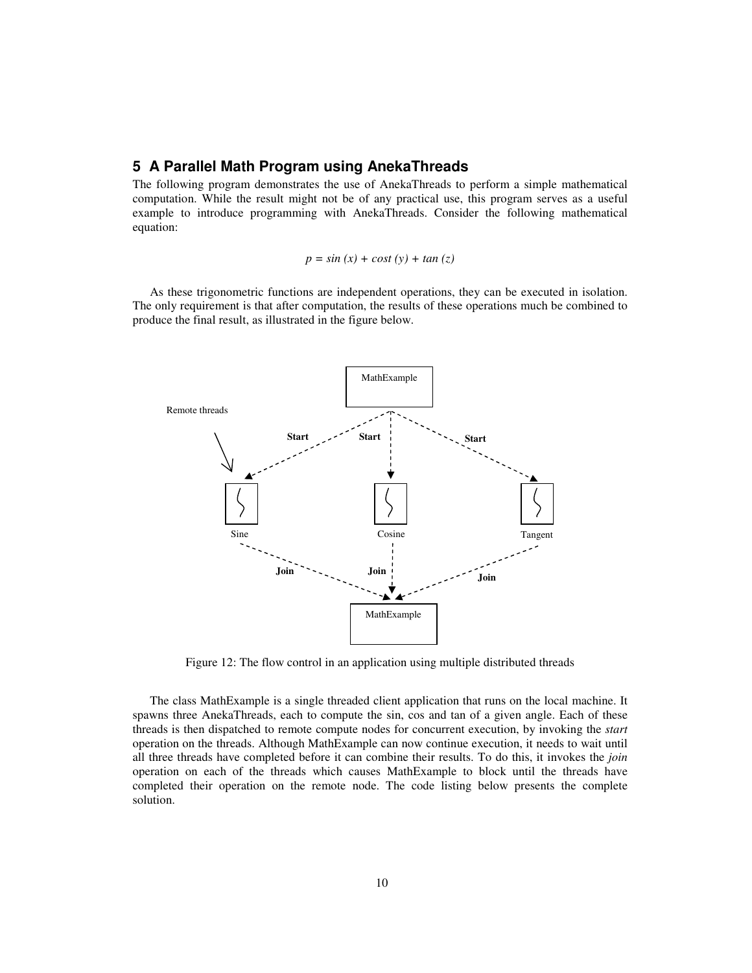# **5 A Parallel Math Program using AnekaThreads**

The following program demonstrates the use of AnekaThreads to perform a simple mathematical computation. While the result might not be of any practical use, this program serves as a useful example to introduce programming with AnekaThreads. Consider the following mathematical equation:

$$
p = \sin(x) + \cos(t) + \tan(z)
$$

As these trigonometric functions are independent operations, they can be executed in isolation. The only requirement is that after computation, the results of these operations much be combined to produce the final result, as illustrated in the figure below.



Figure 12: The flow control in an application using multiple distributed threads

The class MathExample is a single threaded client application that runs on the local machine. It spawns three AnekaThreads, each to compute the sin, cos and tan of a given angle. Each of these threads is then dispatched to remote compute nodes for concurrent execution, by invoking the *start* operation on the threads. Although MathExample can now continue execution, it needs to wait until all three threads have completed before it can combine their results. To do this, it invokes the *join* operation on each of the threads which causes MathExample to block until the threads have completed their operation on the remote node. The code listing below presents the complete solution.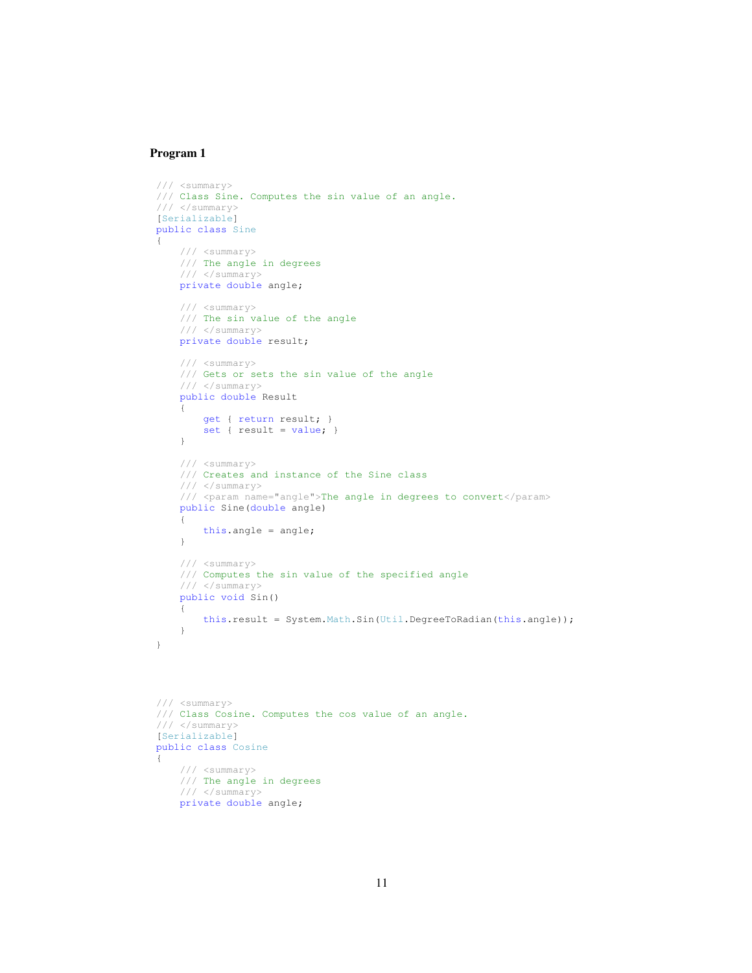### **Program 1**

```
 /// <summary> 
    /// Class Sine. Computes the sin value of an angle. 
     /// </summary> 
    [Serializable] 
    public class Sine 
    { 
         /// <summary> 
         /// The angle in degrees 
         /// </summary> 
         private double angle; 
         /// <summary> 
         /// The sin value of the angle 
         /// </summary> 
         private double result; 
         /// <summary> 
         /// Gets or sets the sin value of the angle 
         /// </summary> 
         public double Result 
         { 
             get { return result; } 
             set { result = value; } 
         } 
         /// <summary> 
         /// Creates and instance of the Sine class 
         /// </summary> 
         /// <param name="angle">The angle in degrees to convert</param> 
         public Sine(double angle) 
         { 
             this.angle = angle; 
         } 
         /// <summary> 
         /// Computes the sin value of the specified angle 
         /// </summary> 
         public void Sin() 
\{ this.result = System.Math.Sin(Util.DegreeToRadian(this.angle)); 
         } 
    } 
    /// <summary> 
    /// Class Cosine. Computes the cos value of an angle. 
   //// </summary>
    [Serializable]
```

```
 public class Cosine 
     /// <summary> 
     /// The angle in degrees 
     /// </summary> 
     private double angle;
```
{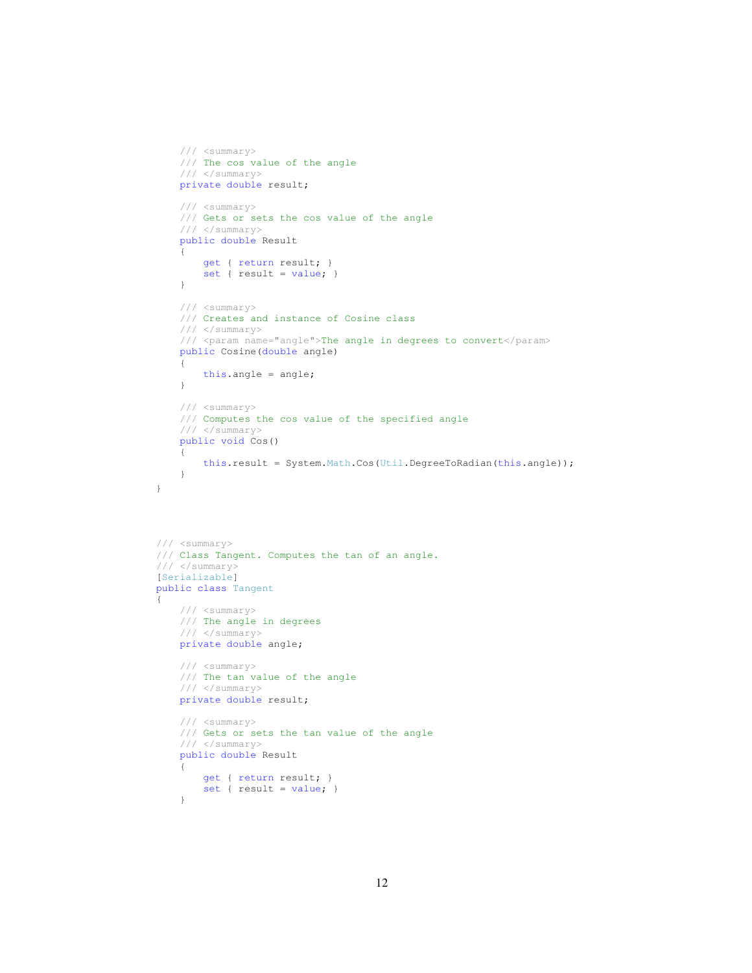```
 /// <summary> 
         /// The cos value of the angle 
         /// </summary> 
         private double result; 
         /// <summary> 
         /// Gets or sets the cos value of the angle 
        // / </summary>
         public double Result 
         { 
             get { return result; } 
            set { result = value; } } 
         /// <summary> 
         /// Creates and instance of Cosine class
         /// </summary> 
         /// <param name="angle">The angle in degrees to convert</param> 
         public Cosine(double angle) 
         { 
             this.angle = angle; 
         } 
         /// <summary> 
         /// Computes the cos value of the specified angle 
         /// </summary> 
         public void Cos() 
         { 
             this.result = System.Math.Cos(Util.DegreeToRadian(this.angle)); 
 } 
    /// <summary> 
    /// Class Tangent. Computes the tan of an angle. 
    /// </summary> 
    [Serializable] 
    public class Tangent 
    { 
         /// <summary> 
         /// The angle in degrees 
         /// </summary> 
         private double angle; 
         /// <summary> 
         /// The tan value of the angle 
        11/ </summary>
         private double result; 
         /// <summary> 
         /// Gets or sets the tan value of the angle 
         /// </summary> 
         public double Result 
         { 
             get { return result; } 
             set { result = value; } 
         }
```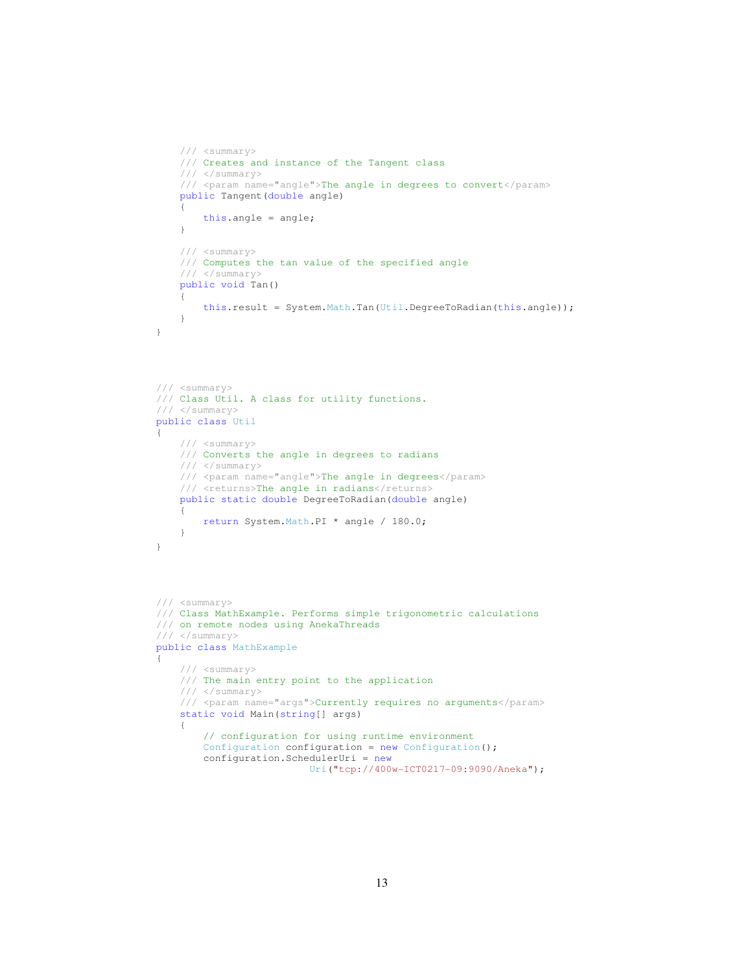```
 /// <summary> 
         /// Creates and instance of the Tangent class
         /// </summary> 
         /// <param name="angle">The angle in degrees to convert</param> 
        public Tangent(double angle) 
         { 
             this.angle = angle; 
         } 
         /// <summary> 
         /// Computes the tan value of the specified angle 
         /// </summary> 
        public void Tan() 
\{ this.result = System.Math.Tan(Util.DegreeToRadian(this.angle)); 
 } 
    } 
    /// <summary> 
    /// Class Util. A class for utility functions. 
    /// </summary> 
    public class Util 
    { 
         /// <summary> 
         /// Converts the angle in degrees to radians 
         /// </summary> 
         /// <param name="angle">The angle in degrees</param> 
        /// <returns>The angle in radians</returns>
        public static double DegreeToRadian(double angle) 
\{ return System.Math.PI * angle / 180.0; 
         } 
    } 
    /// <summary> 
    /// Class MathExample. Performs simple trigonometric calculations 
    /// on remote nodes using AnekaThreads 
    /// </summary> 
   public class MathExample
     { 
         /// <summary> 
         /// The main entry point to the application 
         /// </summary> 
         /// <param name="args">Currently requires no arguments</param> 
         static void Main(string[] args) 
\{ // configuration for using runtime environment 
            Configuration configuration = new Configuration();
             configuration.SchedulerUri = new 
                               Uri("tcp://400w-ICT0217-09:9090/Aneka");
```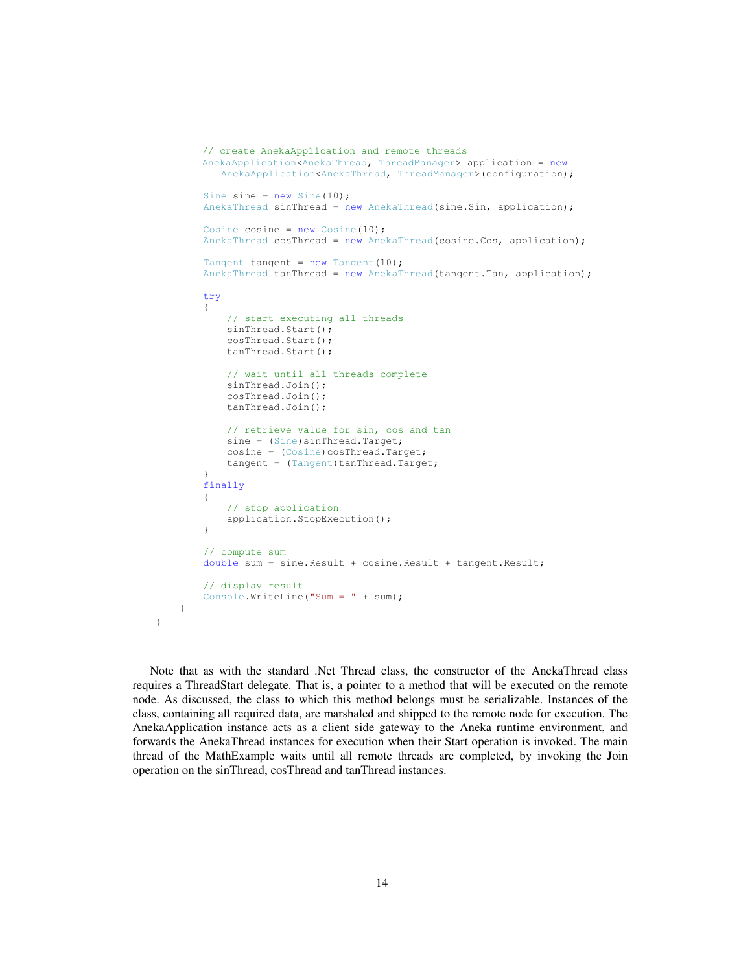```
// create AnekaApplication and remote threads 
                  AnekaApplication<AnekaThread, ThreadManager> application = new 
                        AnekaApplication<AnekaThread, ThreadManager>(configuration); 
                   Sine sine = new Sine(10);
                    AnekaThread sinThread = new AnekaThread(sine.Sin, application); 
                   Cosine cosine = new Cosine(10); AnekaThread cosThread = new AnekaThread(cosine.Cos, application); 
                   Tangent tangent = new Tangent(10);
                    AnekaThread tanThread = new AnekaThread(tangent.Tan, application); 
                    try 
\left\{ \begin{array}{ccc} 0 & 0 & 0 \\ 0 & 0 & 0 \\ 0 & 0 & 0 \\ 0 & 0 & 0 \\ 0 & 0 & 0 \\ 0 & 0 & 0 \\ 0 & 0 & 0 \\ 0 & 0 & 0 \\ 0 & 0 & 0 \\ 0 & 0 & 0 \\ 0 & 0 & 0 \\ 0 & 0 & 0 \\ 0 & 0 & 0 \\ 0 & 0 & 0 & 0 \\ 0 & 0 & 0 & 0 \\ 0 & 0 & 0 & 0 \\ 0 & 0 & 0 & 0 & 0 \\ 0 & 0 & 0 & 0 & 0 \\ 0 & 0 & 0 & 0 & 0 \\ 0 & 0 & 0 & 0 // start executing all threads 
                          sinThread.Start(); 
                          cosThread.Start(); 
                          tanThread.Start(); 
                          // wait until all threads complete 
                          sinThread.Join(); 
                          cosThread.Join(); 
                          tanThread.Join(); 
                          // retrieve value for sin, cos and tan 
                         sine = (Sine)sinThread.Target;
                         cosine = (Cosine)cosThread.Target;
                         tangent = (Tangent)tanThread.Target;
 } 
                    finally 
\left\{ \begin{array}{ccc} 0 & 0 & 0 \\ 0 & 0 & 0 \\ 0 & 0 & 0 \\ 0 & 0 & 0 \\ 0 & 0 & 0 \\ 0 & 0 & 0 \\ 0 & 0 & 0 \\ 0 & 0 & 0 \\ 0 & 0 & 0 \\ 0 & 0 & 0 \\ 0 & 0 & 0 \\ 0 & 0 & 0 \\ 0 & 0 & 0 \\ 0 & 0 & 0 & 0 \\ 0 & 0 & 0 & 0 \\ 0 & 0 & 0 & 0 \\ 0 & 0 & 0 & 0 & 0 \\ 0 & 0 & 0 & 0 & 0 \\ 0 & 0 & 0 & 0 & 0 \\ 0 & 0 & 0 & 0 // stop application 
                          application.StopExecution(); 
 } 
                    // compute sum 
                    double sum = sine.Result + cosine.Result + tangent.Result; 
                    // display result 
                    Console.WriteLine("Sum = " + sum); 
             }
```
Note that as with the standard .Net Thread class, the constructor of the AnekaThread class requires a ThreadStart delegate. That is, a pointer to a method that will be executed on the remote node. As discussed, the class to which this method belongs must be serializable. Instances of the class, containing all required data, are marshaled and shipped to the remote node for execution. The AnekaApplication instance acts as a client side gateway to the Aneka runtime environment, and forwards the AnekaThread instances for execution when their Start operation is invoked. The main thread of the MathExample waits until all remote threads are completed, by invoking the Join operation on the sinThread, cosThread and tanThread instances.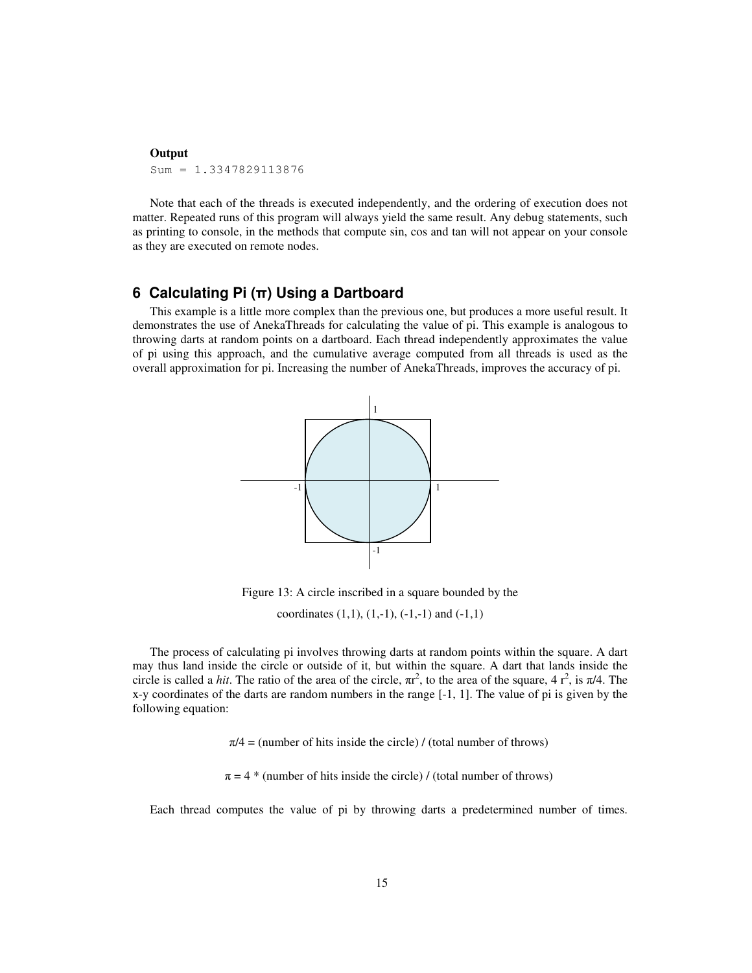#### **Output**

Sum = 1.3347829113876

Note that each of the threads is executed independently, and the ordering of execution does not matter. Repeated runs of this program will always yield the same result. Any debug statements, such as printing to console, in the methods that compute sin, cos and tan will not appear on your console as they are executed on remote nodes.

# **6 Calculating Pi (π) Using a Dartboard**

This example is a little more complex than the previous one, but produces a more useful result. It demonstrates the use of AnekaThreads for calculating the value of pi. This example is analogous to throwing darts at random points on a dartboard. Each thread independently approximates the value of pi using this approach, and the cumulative average computed from all threads is used as the overall approximation for pi. Increasing the number of AnekaThreads, improves the accuracy of pi.



Figure 13: A circle inscribed in a square bounded by the

coordinates  $(1,1)$ ,  $(1,-1)$ ,  $(-1,-1)$  and  $(-1,1)$ 

The process of calculating pi involves throwing darts at random points within the square. A dart may thus land inside the circle or outside of it, but within the square. A dart that lands inside the circle is called a *hit*. The ratio of the area of the circle,  $\pi r^2$ , to the area of the square, 4  $r^2$ , is  $\pi/4$ . The x-y coordinates of the darts are random numbers in the range [-1, 1]. The value of pi is given by the following equation:

 $\pi/4$  = (number of hits inside the circle) / (total number of throws)

 $\pi = 4$  \* (number of hits inside the circle) / (total number of throws)

Each thread computes the value of pi by throwing darts a predetermined number of times.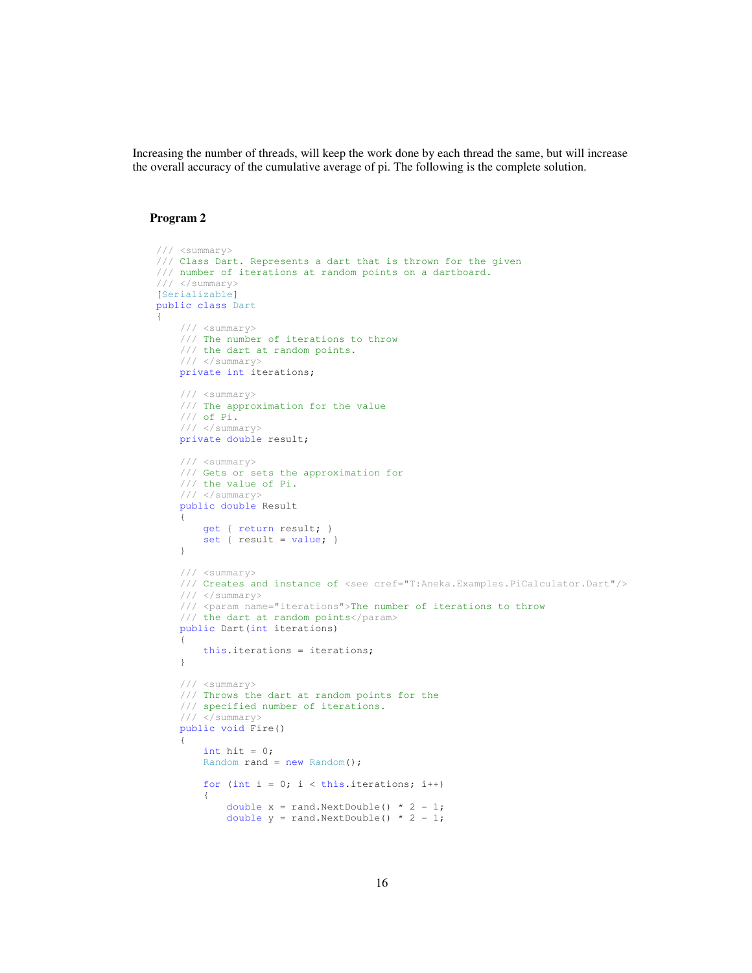Increasing the number of threads, will keep the work done by each thread the same, but will increase the overall accuracy of the cumulative average of pi. The following is the complete solution.

## **Program 2**

{

```
 /// <summary> 
     /// Class Dart. Represents a dart that is thrown for the given 
     /// number of iterations at random points on a dartboard. 
     /// </summary> 
     [Serializable] 
     public class Dart 
           /// <summary> 
           /// The number of iterations to throw 
           /// the dart at random points. 
           /// </summary> 
           private int iterations; 
           /// <summary> 
           /// The approximation for the value 
           /// of Pi. 
           /// </summary> 
           private double result; 
           /// <summary> 
           /// Gets or sets the approximation for 
           /// the value of Pi. 
           /// </summary> 
           public double Result 
\left\{ \begin{array}{ccc} 0 & 0 & 0 \\ 0 & 0 & 0 \\ 0 & 0 & 0 \\ 0 & 0 & 0 \\ 0 & 0 & 0 \\ 0 & 0 & 0 \\ 0 & 0 & 0 \\ 0 & 0 & 0 \\ 0 & 0 & 0 \\ 0 & 0 & 0 \\ 0 & 0 & 0 \\ 0 & 0 & 0 \\ 0 & 0 & 0 \\ 0 & 0 & 0 & 0 \\ 0 & 0 & 0 & 0 \\ 0 & 0 & 0 & 0 \\ 0 & 0 & 0 & 0 & 0 \\ 0 & 0 & 0 & 0 & 0 \\ 0 & 0 & 0 & 0 & 0 \\ 0 & 0 & 0 & 0 get { return result; } 
                set { result = value; } 
           } 
           /// <summary> 
           /// Creates and instance of <see cref="T:Aneka.Examples.PiCalculator.Dart"/> 
          \frac{1}{11} </summary>
           /// <param name="iterations">The number of iterations to throw 
           /// the dart at random points</param> 
           public Dart(int iterations) 
\{ this.iterations = iterations; 
           } 
           /// <summary> 
           /// Throws the dart at random points for the 
           /// specified number of iterations. 
          // / </summary>
           public void Fire() 
           { 
               int hit = 0;Random rand = new Random();
               for (int i = 0; i < this.iterations; i++)
                 { 
                    double x = rand.NextDouble() * 2 - 1;double y = rand.NextDouble() * 2 - 1;
```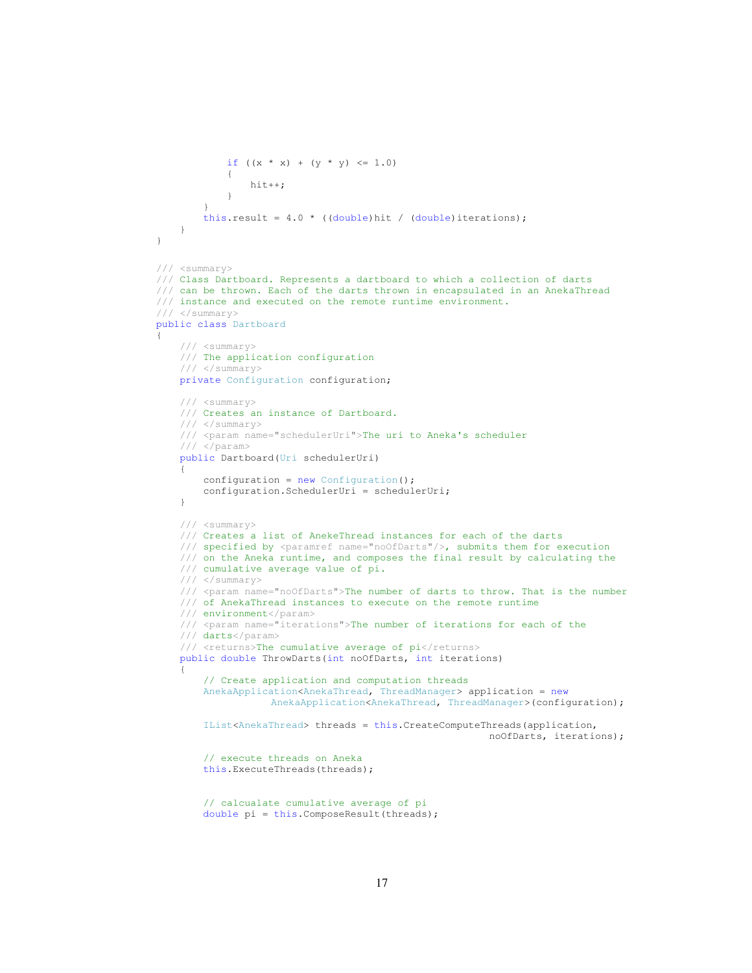```
if ((x * x) + (y * y) \le 1.0) { 
                            hit++; 
 } 
 } 
                this.result = 4.0 * ( (double) hit / (double) iterations); } 
      } 
      /// <summary> 
      /// Class Dartboard. Represents a dartboard to which a collection of darts 
      /// can be thrown. Each of the darts thrown in encapsulated in an AnekaThread 
      /// instance and executed on the remote runtime environment. 
      /// </summary> 
      public class Dartboard 
\left\{\begin{array}{ccc} \end{array}\right\} /// <summary> 
           /// The application configuration 
          11/ </summary>
           private Configuration configuration; 
           /// <summary> 
           /// Creates an instance of Dartboard. 
           /// </summary> 
           /// <param name="schedulerUri">The uri to Aneka's scheduler 
           /// </param> 
           public Dartboard(Uri schedulerUri) 
\left\{ \begin{array}{ccc} 0 & 0 & 0 \\ 0 & 0 & 0 \\ 0 & 0 & 0 \\ 0 & 0 & 0 \\ 0 & 0 & 0 \\ 0 & 0 & 0 \\ 0 & 0 & 0 \\ 0 & 0 & 0 \\ 0 & 0 & 0 \\ 0 & 0 & 0 \\ 0 & 0 & 0 \\ 0 & 0 & 0 \\ 0 & 0 & 0 \\ 0 & 0 & 0 & 0 \\ 0 & 0 & 0 & 0 \\ 0 & 0 & 0 & 0 \\ 0 & 0 & 0 & 0 & 0 \\ 0 & 0 & 0 & 0 & 0 \\ 0 & 0 & 0 & 0 & 0 \\ 0 & 0 & 0 & 0configuration = new Configuration();
                 configuration.SchedulerUri = schedulerUri; 
           } 
           /// <summary> 
           /// Creates a list of AnekeThread instances for each of the darts 
          /// specified by <paramref name="noOfDarts"/>, submits them for execution
           /// on the Aneka runtime, and composes the final result by calculating the 
           /// cumulative average value of pi. 
           /// </summary> 
           /// <param name="noOfDarts">The number of darts to throw. That is the number 
            /// of AnekaThread instances to execute on the remote runtime 
           /// environment</param> 
           /// <param name="iterations">The number of iterations for each of the 
           /// darts</param> 
          /// <returns>The cumulative average of pi</returns>
           public double ThrowDarts(int noOfDarts, int iterations) 
\left\{ \begin{array}{ccc} 0 & 0 & 0 \\ 0 & 0 & 0 \\ 0 & 0 & 0 \\ 0 & 0 & 0 \\ 0 & 0 & 0 \\ 0 & 0 & 0 \\ 0 & 0 & 0 \\ 0 & 0 & 0 \\ 0 & 0 & 0 \\ 0 & 0 & 0 \\ 0 & 0 & 0 \\ 0 & 0 & 0 \\ 0 & 0 & 0 \\ 0 & 0 & 0 & 0 \\ 0 & 0 & 0 & 0 \\ 0 & 0 & 0 & 0 \\ 0 & 0 & 0 & 0 & 0 \\ 0 & 0 & 0 & 0 & 0 \\ 0 & 0 & 0 & 0 & 0 \\ 0 & 0 & 0 & 0 // Create application and computation threads 
                 AnekaApplication<AnekaThread, ThreadManager> application = new 
                                 AnekaApplication<AnekaThread, ThreadManager>(configuration); 
                 IList<AnekaThread> threads = this.CreateComputeThreads(application, 
                                                                                     noOfDarts, iterations); 
                 // execute threads on Aneka 
                 this.ExecuteThreads(threads); 
                 // calcualate cumulative average of pi 
                 double pi = this.ComposeResult(threads);
```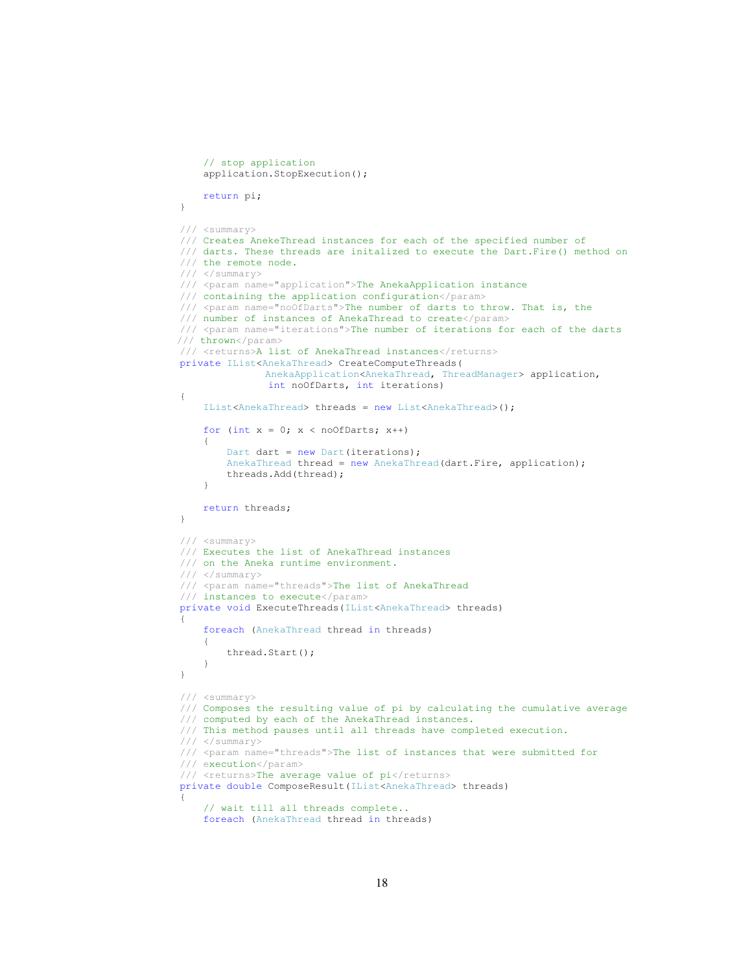```
 // stop application 
               application.StopExecution(); 
               return pi; 
          } 
          /// <summary> 
          /// Creates AnekeThread instances for each of the specified number of 
          /// darts. These threads are initalized to execute the Dart.Fire() method on 
          /// the remote node. 
          /// </summary> 
          /// <param name="application">The AnekaApplication instance 
          /// containing the application configuration</param> 
         /// <param name="noOfDarts">The number of darts to throw. That is, the
          /// number of instances of AnekaThread to create</param> 
          /// <param name="iterations">The number of iterations for each of the darts 
        /// thrown</param> 
         /// <returns>A list of AnekaThread instances</returns>
          private IList<AnekaThread> CreateComputeThreads( 
                          AnekaApplication<AnekaThread, ThreadManager> application, 
                            int noOfDarts, int iterations) 
          { 
               IList<AnekaThread> threads = new List<AnekaThread>(); 
              for (int x = 0; x < noOfDarts; x++)
               { 
                   Dart dart = new Dart(iterations);
                    AnekaThread thread = new AnekaThread(dart.Fire, application); 
                    threads.Add(thread); 
 } 
              return threads; 
          } 
          /// <summary> 
          /// Executes the list of AnekaThread instances 
          /// on the Aneka runtime environment. 
          /// </summary> 
          /// <param name="threads">The list of AnekaThread
          /// instances to execute</param> 
          private void ExecuteThreads(IList<AnekaThread> threads) 
\{ foreach (AnekaThread thread in threads) 
\left\{ \begin{array}{ccc} 0 & 0 & 0 \\ 0 & 0 & 0 \\ 0 & 0 & 0 \\ 0 & 0 & 0 \\ 0 & 0 & 0 \\ 0 & 0 & 0 \\ 0 & 0 & 0 \\ 0 & 0 & 0 \\ 0 & 0 & 0 \\ 0 & 0 & 0 \\ 0 & 0 & 0 \\ 0 & 0 & 0 \\ 0 & 0 & 0 \\ 0 & 0 & 0 & 0 \\ 0 & 0 & 0 & 0 \\ 0 & 0 & 0 & 0 \\ 0 & 0 & 0 & 0 & 0 \\ 0 & 0 & 0 & 0 & 0 \\ 0 & 0 & 0 & 0 & 0 \\ 0 & 0 & 0 & 0 thread.Start(); 
               } 
          } 
          /// <summary> 
          /// Composes the resulting value of pi by calculating the cumulative average 
          /// computed by each of the AnekaThread instances. 
          /// This method pauses until all threads have completed execution. 
          /// </summary> 
          /// <param name="threads">The list of instances that were submitted for 
          /// execution</param> 
         /// <returns>The average value of pi</returns>
          private double ComposeResult(IList<AnekaThread> threads) 
\{ // wait till all threads complete.. 
               foreach (AnekaThread thread in threads)
```

```
18
```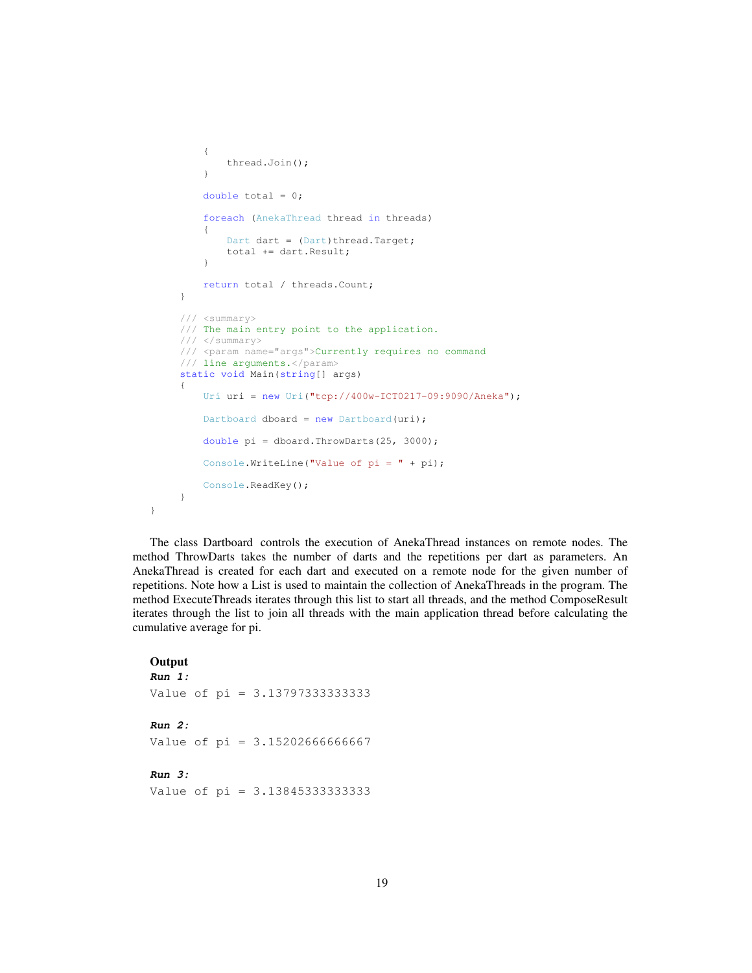```
\left\{ \begin{array}{ccc} 0 & 0 & 0 \\ 0 & 0 & 0 \\ 0 & 0 & 0 \\ 0 & 0 & 0 \\ 0 & 0 & 0 \\ 0 & 0 & 0 \\ 0 & 0 & 0 \\ 0 & 0 & 0 \\ 0 & 0 & 0 \\ 0 & 0 & 0 \\ 0 & 0 & 0 \\ 0 & 0 & 0 \\ 0 & 0 & 0 \\ 0 & 0 & 0 & 0 \\ 0 & 0 & 0 & 0 \\ 0 & 0 & 0 & 0 \\ 0 & 0 & 0 & 0 & 0 \\ 0 & 0 & 0 & 0 & 0 \\ 0 & 0 & 0 & 0 & 0 \\ 0 & 0 & 0 & 0 thread.Join(); 
 } 
                       double total = 0;
                         foreach (AnekaThread thread in threads) 
\left\{ \begin{array}{ccc} 0 & 0 & 0 \\ 0 & 0 & 0 \\ 0 & 0 & 0 \\ 0 & 0 & 0 \\ 0 & 0 & 0 \\ 0 & 0 & 0 \\ 0 & 0 & 0 \\ 0 & 0 & 0 \\ 0 & 0 & 0 \\ 0 & 0 & 0 \\ 0 & 0 & 0 \\ 0 & 0 & 0 \\ 0 & 0 & 0 \\ 0 & 0 & 0 & 0 \\ 0 & 0 & 0 & 0 \\ 0 & 0 & 0 & 0 \\ 0 & 0 & 0 & 0 & 0 \\ 0 & 0 & 0 & 0 & 0 \\ 0 & 0 & 0 & 0 & 0 \\ 0 & 0 & 0 & 0Dart dart = (Dart)thread.Target;
                                 total += dart.Result; 
 } 
                        return total / threads.Count; 
                 } 
                 /// <summary> 
                 /// The main entry point to the application. 
                 /// </summary> 
                 /// <param name="args">Currently requires no command 
                /// line arguments.</param>
                static void Main(string[] args) 
\{ Uri uri = new Uri("tcp://400w-ICT0217-09:9090/Aneka"); 
                       Dartboard dboard = new Dartboard(uri);
                        double pi = dboard.ThrowDarts(25, 3000); 
                        Console.WriteLine("Value of pi = " + pi); 
                        Console.ReadKey(); 
                }
```
The class Dartboard controls the execution of AnekaThread instances on remote nodes. The method ThrowDarts takes the number of darts and the repetitions per dart as parameters. An AnekaThread is created for each dart and executed on a remote node for the given number of repetitions. Note how a List is used to maintain the collection of AnekaThreads in the program. The method ExecuteThreads iterates through this list to start all threads, and the method ComposeResult iterates through the list to join all threads with the main application thread before calculating the cumulative average for pi.

### **Output**

```
Run 1: 
Value of pi = 3.13797333333333
Run 2: 
Value of pi = 3.15202666666667 
Run 3: 
Value of pi = 3.13845333333333
```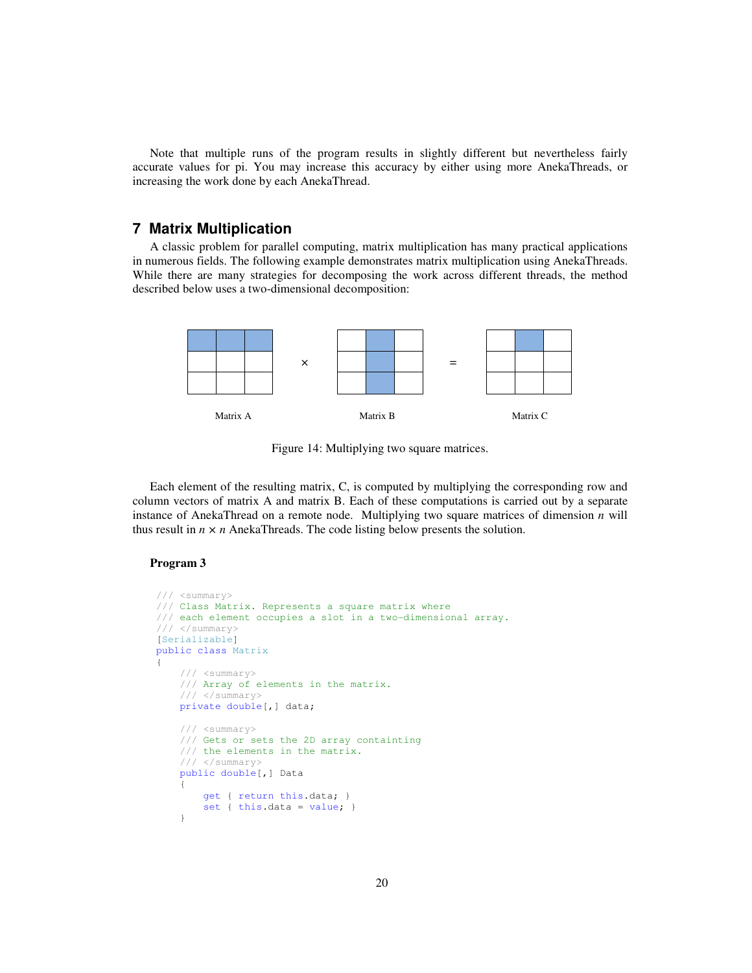Note that multiple runs of the program results in slightly different but nevertheless fairly accurate values for pi. You may increase this accuracy by either using more AnekaThreads, or increasing the work done by each AnekaThread.

# **7 Matrix Multiplication**

A classic problem for parallel computing, matrix multiplication has many practical applications in numerous fields. The following example demonstrates matrix multiplication using AnekaThreads. While there are many strategies for decomposing the work across different threads, the method described below uses a two-dimensional decomposition:



Figure 14: Multiplying two square matrices.

Each element of the resulting matrix, C, is computed by multiplying the corresponding row and column vectors of matrix A and matrix B. Each of these computations is carried out by a separate instance of AnekaThread on a remote node. Multiplying two square matrices of dimension *n* will thus result in  $n \times n$  AnekaThreads. The code listing below presents the solution.

### **Program 3**

```
 /// <summary> 
       /// Class Matrix. Represents a square matrix where 
       /// each element occupies a slot in a two-dimensional array. 
       /// </summary> 
       [Serializable] 
       public class Matrix 
       { 
               /// <summary> 
              /// Array of elements in the matrix. 
              /// </summary> 
              private double[,] data; 
              /// <summary> 
              /// Gets or sets the 2D array containting 
              /// the elements in the matrix. 
              /// </summary> 
              public double[,] Data 
\left\{ \begin{array}{ccc} 0 & 0 & 0 \\ 0 & 0 & 0 \\ 0 & 0 & 0 \\ 0 & 0 & 0 \\ 0 & 0 & 0 \\ 0 & 0 & 0 \\ 0 & 0 & 0 \\ 0 & 0 & 0 \\ 0 & 0 & 0 \\ 0 & 0 & 0 \\ 0 & 0 & 0 \\ 0 & 0 & 0 \\ 0 & 0 & 0 \\ 0 & 0 & 0 & 0 \\ 0 & 0 & 0 & 0 \\ 0 & 0 & 0 & 0 \\ 0 & 0 & 0 & 0 & 0 \\ 0 & 0 & 0 & 0 & 0 \\ 0 & 0 & 0 & 0 & 0 \\ 0 & 0 & 0 & 0 get { return this.data; } 
              set { this.data = value; }
 }
```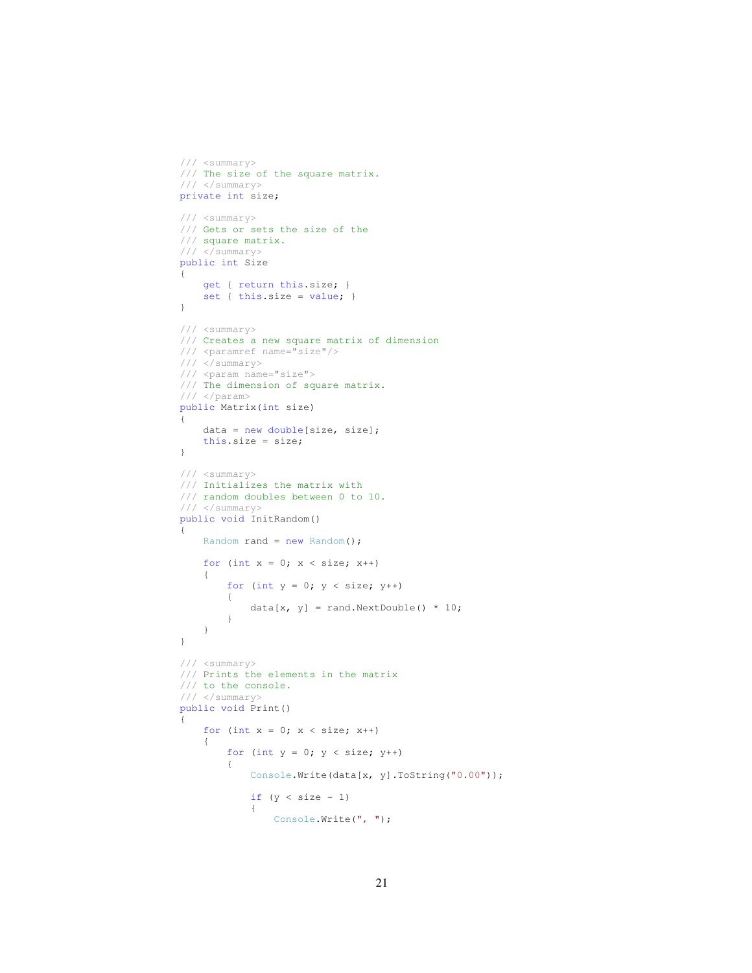```
 /// <summary> 
        /// The size of the square matrix. 
        /// </summary> 
        private int size; 
        /// <summary> 
        /// Gets or sets the size of the 
        /// square matrix. 
        /// </summary> 
        public int Size 
        { 
            get { return this.size; } 
           set { this.size = value; }
        } 
        /// <summary> 
        /// Creates a new square matrix of dimension 
        /// <paramref name="size"/> 
        /// </summary> 
        /// <param name="size"> 
        /// The dimension of square matrix. 
       // / </param>
        public Matrix(int size) 
        { 
            data = new double[size, size]; 
            this.size = size; 
        } 
        /// <summary> 
        /// Initializes the matrix with 
        /// random doubles between 0 to 10. 
        /// </summary> 
        public void InitRandom() 
\{ Random rand = new Random(); 
           for (int x = 0; x < size; x++)
            { 
               for (int y = 0; y < size; y++)
 { 
                   data[x, y] = rand.NextDouble() * 10;
 } 
            } 
        } 
 /// <summary> 
 /// Prints the elements in the matrix 
        /// to the console. 
        /// </summary> 
        public void Print() 
        { 
           for (int x = 0; x < size; x++)
            { 
               for (int y = 0; y < size; y++)
 { 
                    Console.Write(data[x, y].ToString("0.00")); 
                   if (y < size - 1) { 
                       Console.Write(", ");
```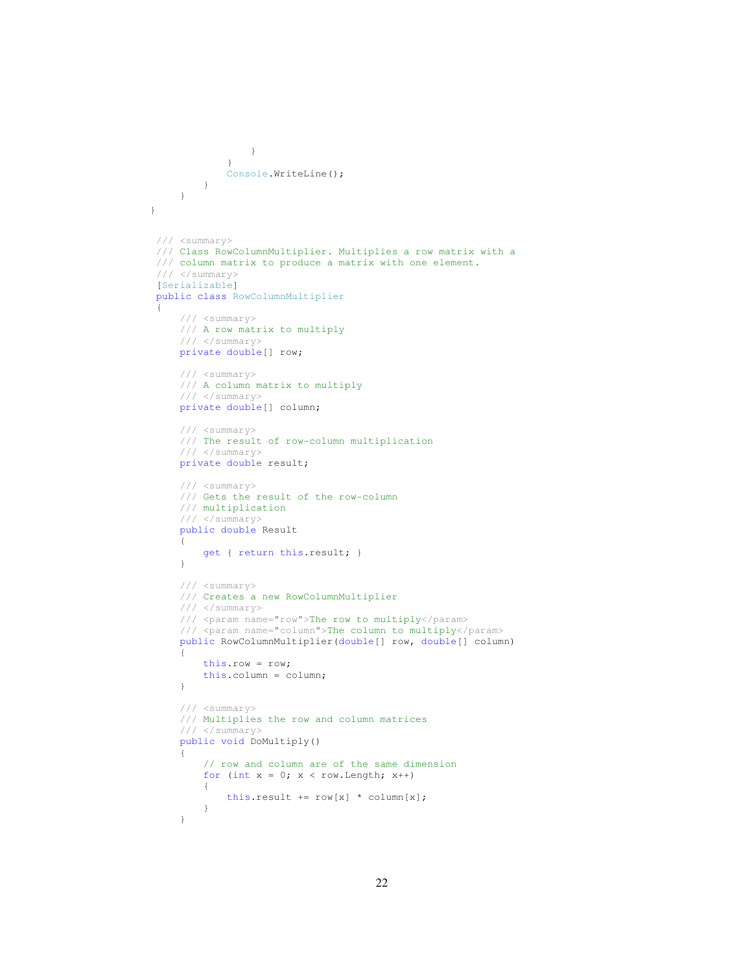```
 } 
 } 
                 Console.WriteLine(); 
            } 
      \qquad \}}
    /// <summary> 
    /// Class RowColumnMultiplier. Multiplies a row matrix with a 
    /// column matrix to produce a matrix with one element. 
   // / </summary>
    [Serializable] 
    public class RowColumnMultiplier 
     { 
         /// <summary> 
         /// A row matrix to multiply 
         /// </summary> 
         private double[] row; 
         /// <summary> 
         /// A column matrix to multiply 
         /// </summary> 
         private double[] column; 
         /// <summary> 
         /// The result of row-column multiplication 
         /// </summary> 
         private double result; 
         /// <summary> 
         /// Gets the result of the row-column 
         /// multiplication 
         /// </summary> 
         public double Result 
         { 
             get { return this.result; } 
         } 
         /// <summary> 
         /// Creates a new RowColumnMultiplier 
         /// </summary> 
         /// <param name="row">The row to multiply</param> 
         /// <param name="column">The column to multiply</param> 
         public RowColumnMultiplier(double[] row, double[] column) 
         { 
             this.row = row; 
             this.column = column; 
         } 
         /// <summary> 
         /// Multiplies the row and column matrices 
         /// </summary> 
         public void DoMultiply() 
         { 
             // row and column are of the same dimension 
            for (int x = 0; x < row.length; x++)
             { 
                this.result += row[x] * column[x]; } 
         }
```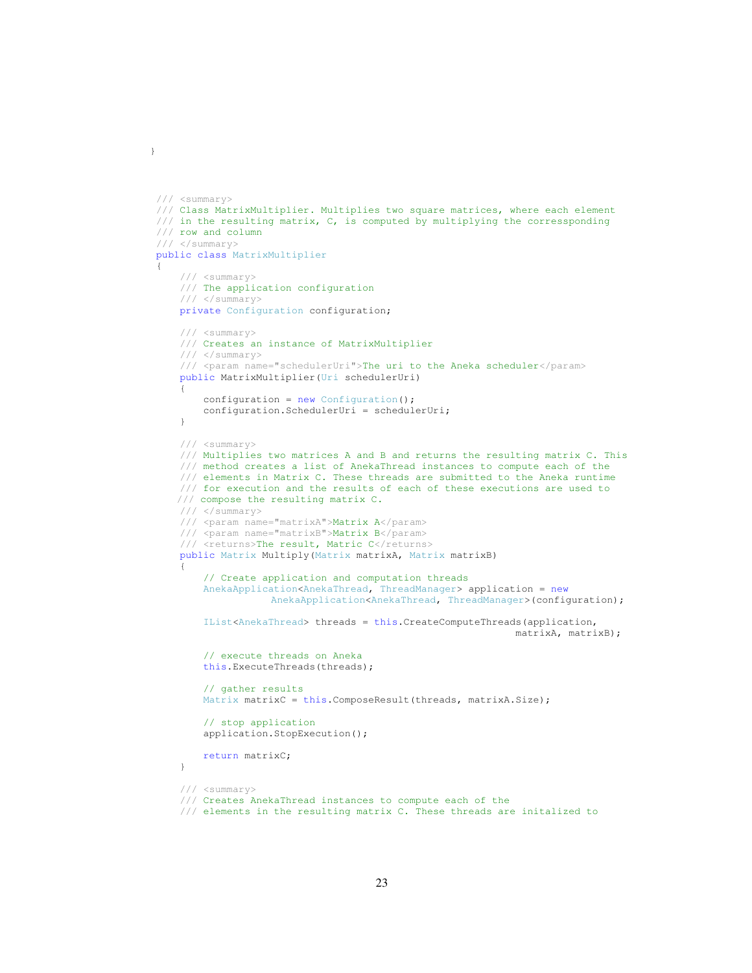```
 /// <summary> 
    /// Class MatrixMultiplier. Multiplies two square matrices, where each element 
    /// in the resulting matrix, C, is computed by multiplying the corressponding 
    /// row and column 
    /// </summary> 
    public class MatrixMultiplier 
     { 
         /// <summary> 
         /// The application configuration 
         /// </summary> 
        private Configuration configuration; 
         /// <summary> 
         /// Creates an instance of MatrixMultiplier 
         /// </summary> 
         /// <param name="schedulerUri">The uri to the Aneka scheduler</param> 
        public MatrixMultiplier(Uri schedulerUri) 
\{configuration = new Configuration();
             configuration.SchedulerUri = schedulerUri; 
 } 
         /// <summary> 
         /// Multiplies two matrices A and B and returns the resulting matrix C. This 
         /// method creates a list of AnekaThread instances to compute each of the 
         /// elements in Matrix C. These threads are submitted to the Aneka runtime 
         /// for execution and the results of each of these executions are used to 
       /// compose the resulting matrix C. 
         /// </summary> 
         /// <param name="matrixA">Matrix A</param> 
         /// <param name="matrixB">Matrix B</param> 
        /// <returns>The result, Matric C</returns>
        public Matrix Multiply(Matrix matrixA, Matrix matrixB) 
\{ // Create application and computation threads 
             AnekaApplication<AnekaThread, ThreadManager> application = new 
                         AnekaApplication<AnekaThread, ThreadManager>(configuration); 
             IList<AnekaThread> threads = this.CreateComputeThreads(application, 
                                                                    matrixA, matrixB); 
             // execute threads on Aneka 
             this.ExecuteThreads(threads); 
             // gather results 
            Matrix matrixC = this.ComposeResult(threads, matrixA.Size);
             // stop application 
             application.StopExecution(); 
             return matrixC; 
         } 
         /// <summary> 
         /// Creates AnekaThread instances to compute each of the 
         /// elements in the resulting matrix C. These threads are initalized to
```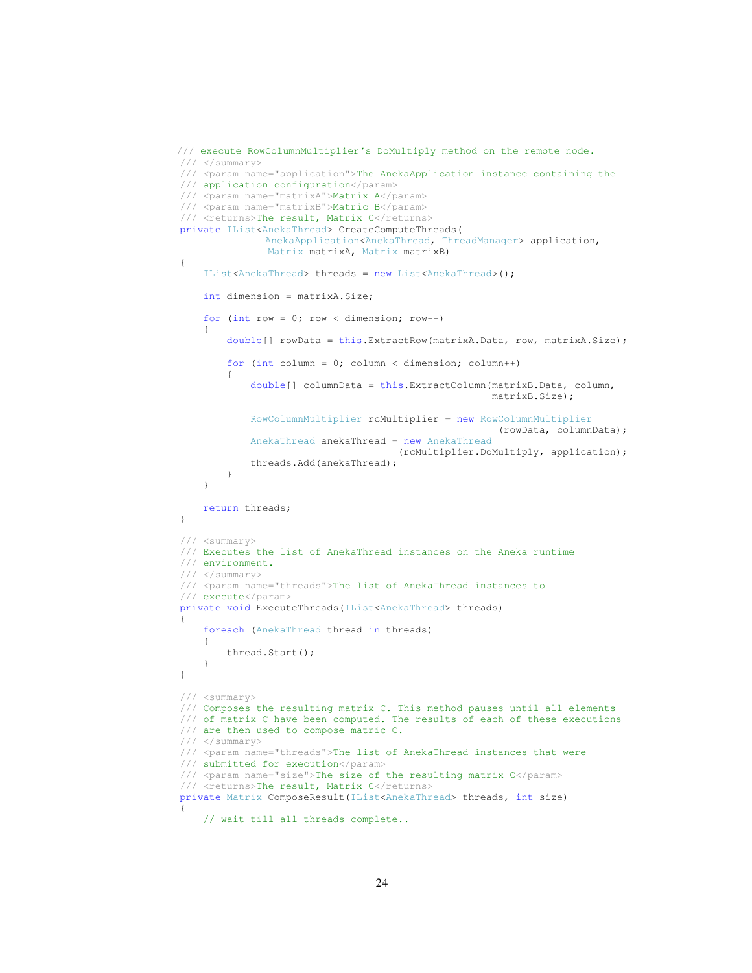```
/// execute RowColumnMultiplier's DoMultiply method on the remote node. 
         /// </summary> 
          /// <param name="application">The AnekaApplication instance containing the 
          /// application configuration</param> 
          /// <param name="matrixA">Matrix A</param> 
        /// <param name="matrixB">Matric B</param>
        /// <returns>The result, Matrix C</returns>
         private IList<AnekaThread> CreateComputeThreads( 
                         AnekaApplication<AnekaThread, ThreadManager> application, 
                          Matrix matrixA, Matrix matrixB) 
\{ IList<AnekaThread> threads = new List<AnekaThread>(); 
              int dimension = matrixA.Size; 
             for (int row = 0; row < dimension; row++)
\{double[] rowData = this.ExtractRow(matrixA.Data, row, matrixA.Size);
                  for (int column = 0; column < dimension; column++)
 { 
                        double[] columnData = this.ExtractColumn(matrixB.Data, column, 
                                                                       matrixB.Size); 
                        RowColumnMultiplier rcMultiplier = new RowColumnMultiplier 
                                                                         (rowData, columnData); 
                       AnekaThread anekaThread = new AnekaThread 
                                                   (rcMultiplier.DoMultiply, application); 
                       threads.Add(anekaThread); 
 } 
              } 
              return threads; 
         } 
         /// <summary> 
          /// Executes the list of AnekaThread instances on the Aneka runtime 
          /// environment. 
          /// </summary> 
          /// <param name="threads">The list of AnekaThread instances to 
          /// execute</param> 
         private void ExecuteThreads(IList<AnekaThread> threads) 
\{ foreach (AnekaThread thread in threads) 
\left\{ \begin{array}{ccc} 0 & 0 & 0 \\ 0 & 0 & 0 \\ 0 & 0 & 0 \\ 0 & 0 & 0 \\ 0 & 0 & 0 \\ 0 & 0 & 0 \\ 0 & 0 & 0 \\ 0 & 0 & 0 \\ 0 & 0 & 0 \\ 0 & 0 & 0 \\ 0 & 0 & 0 \\ 0 & 0 & 0 \\ 0 & 0 & 0 \\ 0 & 0 & 0 & 0 \\ 0 & 0 & 0 & 0 \\ 0 & 0 & 0 & 0 \\ 0 & 0 & 0 & 0 & 0 \\ 0 & 0 & 0 & 0 & 0 \\ 0 & 0 & 0 & 0 & 0 \\ 0 & 0 & 0 & 0 thread.Start(); 
              } 
          } 
          /// <summary> 
 /// Composes the resulting matrix C. This method pauses until all elements 
 /// of matrix C have been computed. The results of each of these executions 
          /// are then used to compose matric C. 
          /// </summary> 
          /// <param name="threads">The list of AnekaThread instances that were 
          /// submitted for execution</param> 
          /// <param name="size">The size of the resulting matrix C</param> 
        /// <returns>The result, Matrix C</returns>
         private Matrix ComposeResult(IList<AnekaThread> threads, int size) 
\{ // wait till all threads complete..
```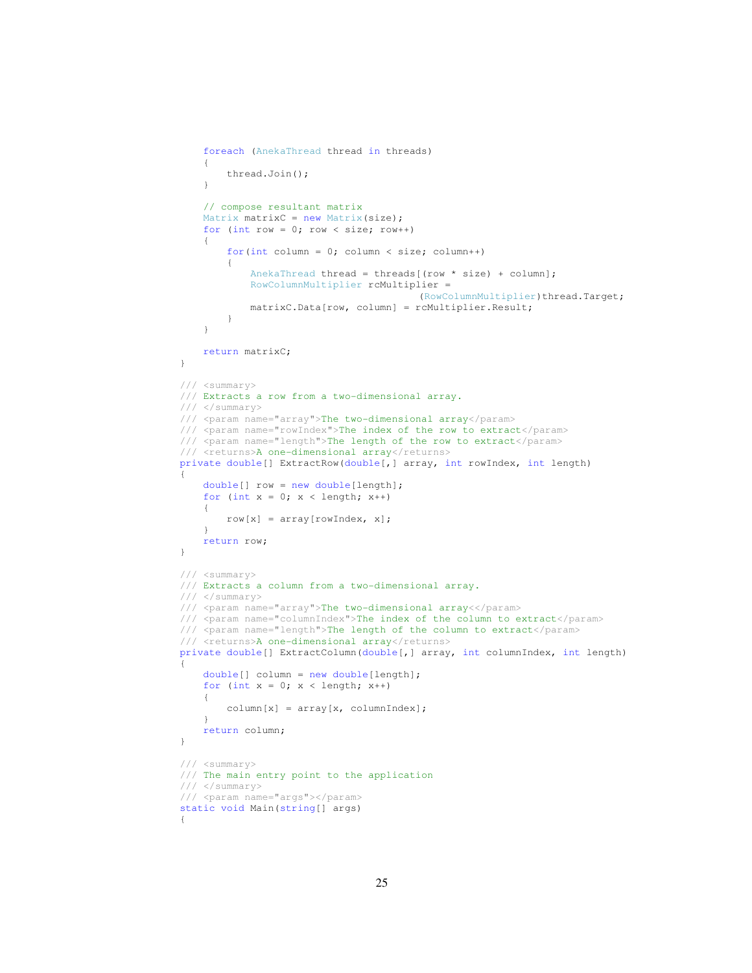```
 foreach (AnekaThread thread in threads) 
               { 
                   thread.Join(); 
 } 
               // compose resultant matrix 
             Matrix matrixC = new Matrix(size);
             for (int row = 0; row < size; row++)
\left\{ \begin{array}{ccc} 0 & 0 & 0 \\ 0 & 0 & 0 \\ 0 & 0 & 0 \\ 0 & 0 & 0 \\ 0 & 0 & 0 \\ 0 & 0 & 0 \\ 0 & 0 & 0 \\ 0 & 0 & 0 \\ 0 & 0 & 0 \\ 0 & 0 & 0 \\ 0 & 0 & 0 \\ 0 & 0 & 0 \\ 0 & 0 & 0 \\ 0 & 0 & 0 & 0 \\ 0 & 0 & 0 & 0 \\ 0 & 0 & 0 & 0 \\ 0 & 0 & 0 & 0 & 0 \\ 0 & 0 & 0 & 0 & 0 \\ 0 & 0 & 0 & 0 & 0 \\ 0 & 0 & 0 & 0for(int column = 0; column < size; column++)
 { 
                       AnekaThread thread = threads [ (row * size) + column];
                        RowColumnMultiplier rcMultiplier = 
                                                         (RowColumnMultiplier)thread.Target;
                        matrixC.Data[row, column] = rcMultiplier.Result; 
 } 
 } 
              return matrixC; 
          } 
          /// <summary> 
          /// Extracts a row from a two-dimensional array. 
          /// </summary> 
          /// <param name="array">The two-dimensional array</param> 
          /// <param name="rowIndex">The index of the row to extract</param> 
          /// <param name="length">The length of the row to extract</param> 
          /// <returns>A one-dimensional array</returns> 
          private double[] ExtractRow(double[,] array, int rowIndex, int length) 
\{ double[] row = new double[length]; 
             for (int x = 0; x < length; x++)
              { 
                  row[x] = array[rowIndex, x]; } 
              return row; 
          } 
          /// <summary> 
          /// Extracts a column from a two-dimensional array. 
          /// </summary> 
          /// <param name="array">The two-dimensional array<</param> 
          /// <param name="columnIndex">The index of the column to extract</param> 
          /// <param name="length">The length of the column to extract</param> 
         /// <returns>A one-dimensional array</returns>
          private double[] ExtractColumn(double[,] array, int columnIndex, int length) 
          { 
              double[] column = new double[length]; 
             for (int x = 0; x < length; x++)
              { 
                   column[x] = array[x, columnIndex]; 
 } 
              return column; 
          } 
          /// <summary> 
          /// The main entry point to the application 
          /// </summary> 
          /// <param name="args"></param> 
          static void Main(string[] args) 
          {
```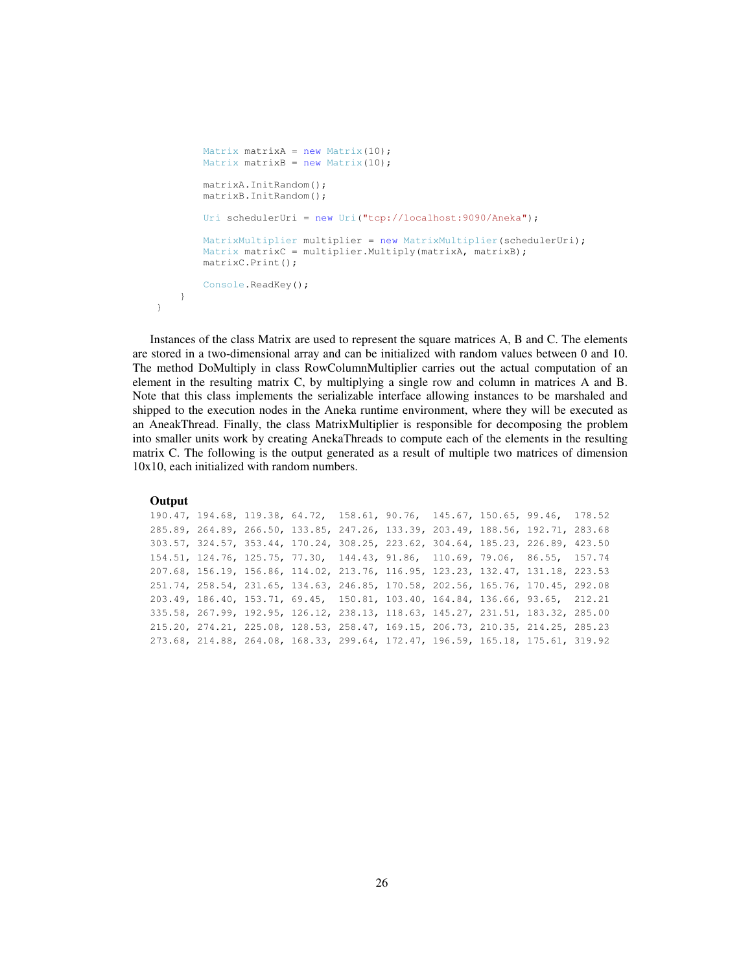```
Matrix matrixA = new Matrix(10);
        Matrix matrixB = new Matrix(10);
         matrixA.InitRandom(); 
         matrixB.InitRandom(); 
         Uri schedulerUri = new Uri("tcp://localhost:9090/Aneka"); 
         MatrixMultiplier multiplier = new MatrixMultiplier(schedulerUri); 
        Matrix matrixC = multiplier. Multiply (matrixA, matrixB);
         matrixC.Print(); 
         Console.ReadKey(); 
     } 
 }
```
Instances of the class Matrix are used to represent the square matrices A, B and C. The elements are stored in a two-dimensional array and can be initialized with random values between 0 and 10. The method DoMultiply in class RowColumnMultiplier carries out the actual computation of an element in the resulting matrix C, by multiplying a single row and column in matrices A and B. Note that this class implements the serializable interface allowing instances to be marshaled and shipped to the execution nodes in the Aneka runtime environment, where they will be executed as an AneakThread. Finally, the class MatrixMultiplier is responsible for decomposing the problem into smaller units work by creating AnekaThreads to compute each of the elements in the resulting matrix C. The following is the output generated as a result of multiple two matrices of dimension 10x10, each initialized with random numbers.

### **Output**

|  | 190.47, 194.68, 119.38, 64.72, 158.61, 90.76, 145.67, 150.65, 99.46, 178.52    |  |  |  |  |
|--|--------------------------------------------------------------------------------|--|--|--|--|
|  | 285.89, 264.89, 266.50, 133.85, 247.26, 133.39, 203.49, 188.56, 192.71, 283.68 |  |  |  |  |
|  | 303.57, 324.57, 353.44, 170.24, 308.25, 223.62, 304.64, 185.23, 226.89, 423.50 |  |  |  |  |
|  | 154.51, 124.76, 125.75, 77.30, 144.43, 91.86, 110.69, 79.06, 86.55, 157.74     |  |  |  |  |
|  | 207.68, 156.19, 156.86, 114.02, 213.76, 116.95, 123.23, 132.47, 131.18, 223.53 |  |  |  |  |
|  | 251.74, 258.54, 231.65, 134.63, 246.85, 170.58, 202.56, 165.76, 170.45, 292.08 |  |  |  |  |
|  | 203.49, 186.40, 153.71, 69.45, 150.81, 103.40, 164.84, 136.66, 93.65, 212.21   |  |  |  |  |
|  | 335.58, 267.99, 192.95, 126.12, 238.13, 118.63, 145.27, 231.51, 183.32, 285.00 |  |  |  |  |
|  | 215.20, 274.21, 225.08, 128.53, 258.47, 169.15, 206.73, 210.35, 214.25, 285.23 |  |  |  |  |
|  | 273.68, 214.88, 264.08, 168.33, 299.64, 172.47, 196.59, 165.18, 175.61, 319.92 |  |  |  |  |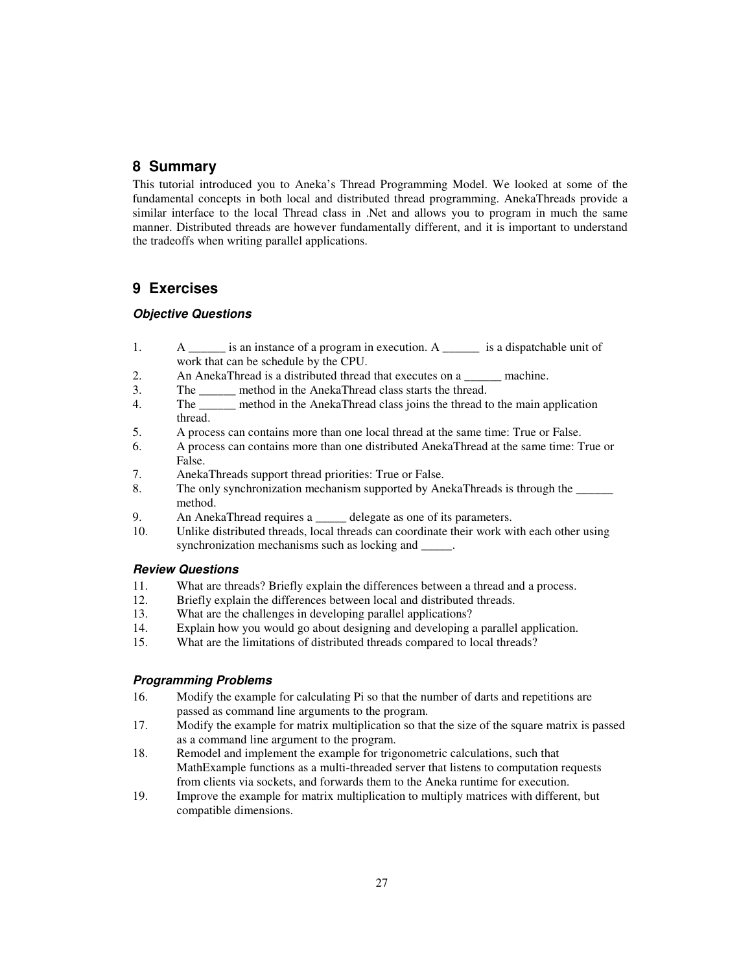# **8 Summary**

This tutorial introduced you to Aneka's Thread Programming Model. We looked at some of the fundamental concepts in both local and distributed thread programming. AnekaThreads provide a similar interface to the local Thread class in .Net and allows you to program in much the same manner. Distributed threads are however fundamentally different, and it is important to understand the tradeoffs when writing parallel applications.

# **9 Exercises**

## **Objective Questions**

- 1. A *is an instance of a program in execution.* A *lis a dispatchable unit of* work that can be schedule by the CPU.
- 2. An AnekaThread is a distributed thread that executes on a *machine*.
- 3. The *\_\_\_\_\_\_* method in the AnekaThread class starts the thread.
- 4. The *\_\_\_\_\_\_* method in the AnekaThread class joins the thread to the main application thread.
- 5. A process can contains more than one local thread at the same time: True or False.
- 6. A process can contains more than one distributed AnekaThread at the same time: True or False.
- 7. AnekaThreads support thread priorities: True or False.
- 8. The only synchronization mechanism supported by AnekaThreads is through the method.
- 9. An AnekaThread requires a <u>consecrete as one of</u> its parameters.
- 10. Unlike distributed threads, local threads can coordinate their work with each other using synchronization mechanisms such as locking and \_\_\_\_\_.

### **Review Questions**

- 11. What are threads? Briefly explain the differences between a thread and a process.
- 12. Briefly explain the differences between local and distributed threads.
- 13. What are the challenges in developing parallel applications?<br>14. Explain how you would go about designing and developing
- Explain how you would go about designing and developing a parallel application.
- 15. What are the limitations of distributed threads compared to local threads?

## **Programming Problems**

- 16. Modify the example for calculating Pi so that the number of darts and repetitions are passed as command line arguments to the program.
- 17. Modify the example for matrix multiplication so that the size of the square matrix is passed as a command line argument to the program.
- 18. Remodel and implement the example for trigonometric calculations, such that MathExample functions as a multi-threaded server that listens to computation requests from clients via sockets, and forwards them to the Aneka runtime for execution.
- 19. Improve the example for matrix multiplication to multiply matrices with different, but compatible dimensions.